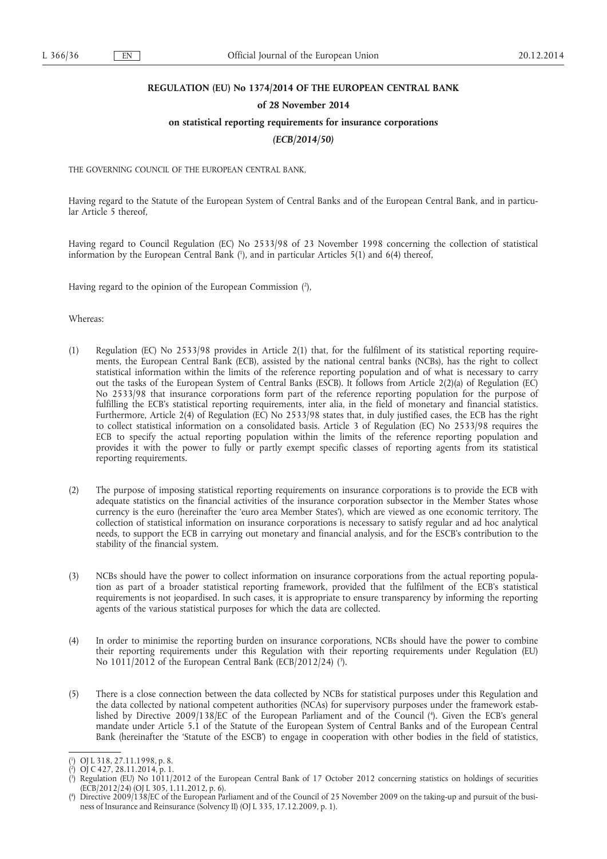## **REGULATION (EU) No 1374/2014 OF THE EUROPEAN CENTRAL BANK**

#### **of 28 November 2014**

## **on statistical reporting requirements for insurance corporations**

*(ECB/2014/50)* 

THE GOVERNING COUNCIL OF THE EUROPEAN CENTRAL BANK,

Having regard to the Statute of the European System of Central Banks and of the European Central Bank, and in particular Article 5 thereof,

Having regard to Council Regulation (EC) No 2533/98 of 23 November 1998 concerning the collection of statistical information by the European Central Bank ( 1 ), and in particular Articles 5(1) and 6(4) thereof,

Having regard to the opinion of the European Commission ( 2 ),

Whereas:

- (1) Regulation (EC) No 2533/98 provides in Article 2(1) that, for the fulfilment of its statistical reporting requirements, the European Central Bank (ECB), assisted by the national central banks (NCBs), has the right to collect statistical information within the limits of the reference reporting population and of what is necessary to carry out the tasks of the European System of Central Banks (ESCB). It follows from Article 2(2)(a) of Regulation (EC) No 2533/98 that insurance corporations form part of the reference reporting population for the purpose of fulfilling the ECB's statistical reporting requirements, inter alia, in the field of monetary and financial statistics. Furthermore, Article 2(4) of Regulation (EC) No 2533/98 states that, in duly justified cases, the ECB has the right to collect statistical information on a consolidated basis. Article 3 of Regulation (EC) No 2533/98 requires the ECB to specify the actual reporting population within the limits of the reference reporting population and provides it with the power to fully or partly exempt specific classes of reporting agents from its statistical reporting requirements.
- (2) The purpose of imposing statistical reporting requirements on insurance corporations is to provide the ECB with adequate statistics on the financial activities of the insurance corporation subsector in the Member States whose currency is the euro (hereinafter the 'euro area Member States'), which are viewed as one economic territory. The collection of statistical information on insurance corporations is necessary to satisfy regular and ad hoc analytical needs, to support the ECB in carrying out monetary and financial analysis, and for the ESCB's contribution to the stability of the financial system.
- (3) NCBs should have the power to collect information on insurance corporations from the actual reporting population as part of a broader statistical reporting framework, provided that the fulfilment of the ECB's statistical requirements is not jeopardised. In such cases, it is appropriate to ensure transparency by informing the reporting agents of the various statistical purposes for which the data are collected.
- (4) In order to minimise the reporting burden on insurance corporations, NCBs should have the power to combine their reporting requirements under this Regulation with their reporting requirements under Regulation (EU) No 1011/2012 of the European Central Bank (ECB/2012/24) ( 3 ).
- (5) There is a close connection between the data collected by NCBs for statistical purposes under this Regulation and the data collected by national competent authorities (NCAs) for supervisory purposes under the framework established by Directive 2009/138/EC of the European Parliament and of the Council ( 4 ). Given the ECB's general mandate under Article 5.1 of the Statute of the European System of Central Banks and of the European Central Bank (hereinafter the 'Statute of the ESCB') to engage in cooperation with other bodies in the field of statistics,

<sup>(</sup> 1 ) OJ L 318, 27.11.1998, p. 8.

<sup>(</sup> 2 ) OJ C 427, 28.11.2014, p. 1.

<sup>(</sup> 3 ) Regulation (EU) No 1011/2012 of the European Central Bank of 17 October 2012 concerning statistics on holdings of securities  $(ECB/2012/24)$  (OJ L 305, 1.11.2012, p. 6).

<sup>(</sup> 4 ) Directive 2009/138/EC of the European Parliament and of the Council of 25 November 2009 on the taking-up and pursuit of the business of Insurance and Reinsurance (Solvency II) (OJ L 335, 17.12.2009, p. 1).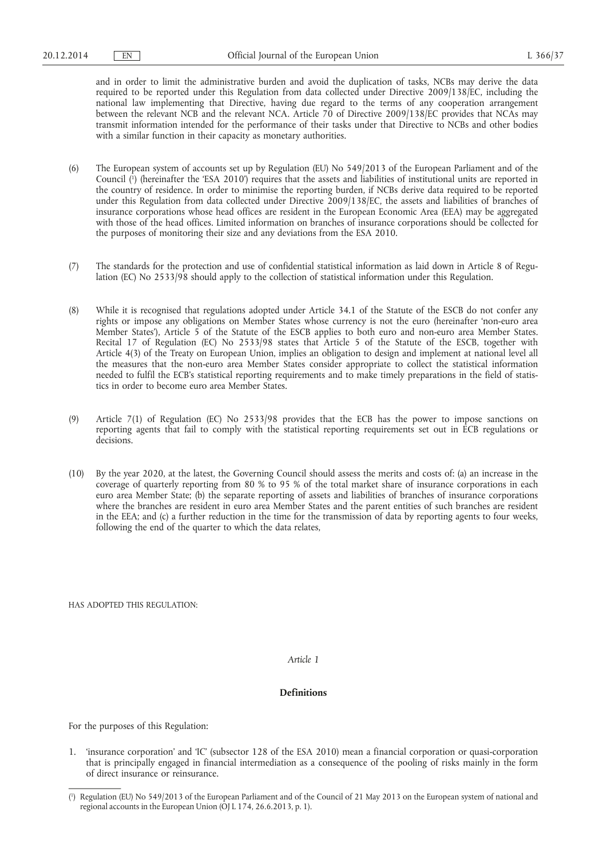and in order to limit the administrative burden and avoid the duplication of tasks, NCBs may derive the data required to be reported under this Regulation from data collected under Directive 2009/138/EC, including the national law implementing that Directive, having due regard to the terms of any cooperation arrangement between the relevant NCB and the relevant NCA. Article 70 of Directive 2009/138/EC provides that NCAs may transmit information intended for the performance of their tasks under that Directive to NCBs and other bodies with a similar function in their capacity as monetary authorities.

- (6) The European system of accounts set up by Regulation (EU) No 549/2013 of the European Parliament and of the Council ( 1 ) (hereinafter the 'ESA 2010') requires that the assets and liabilities of institutional units are reported in the country of residence. In order to minimise the reporting burden, if NCBs derive data required to be reported under this Regulation from data collected under Directive 2009/138/EC, the assets and liabilities of branches of insurance corporations whose head offices are resident in the European Economic Area (EEA) may be aggregated with those of the head offices. Limited information on branches of insurance corporations should be collected for the purposes of monitoring their size and any deviations from the ESA 2010.
- (7) The standards for the protection and use of confidential statistical information as laid down in Article 8 of Regulation (EC) No 2533/98 should apply to the collection of statistical information under this Regulation.
- (8) While it is recognised that regulations adopted under Article 34.1 of the Statute of the ESCB do not confer any rights or impose any obligations on Member States whose currency is not the euro (hereinafter 'non-euro area Member States'), Article 5 of the Statute of the ESCB applies to both euro and non-euro area Member States. Recital 17 of Regulation (EC) No 2533/98 states that Article 5 of the Statute of the ESCB, together with Article 4(3) of the Treaty on European Union, implies an obligation to design and implement at national level all the measures that the non-euro area Member States consider appropriate to collect the statistical information needed to fulfil the ECB's statistical reporting requirements and to make timely preparations in the field of statistics in order to become euro area Member States.
- (9) Article 7(1) of Regulation (EC) No 2533/98 provides that the ECB has the power to impose sanctions on reporting agents that fail to comply with the statistical reporting requirements set out in ECB regulations or decisions.
- (10) By the year 2020, at the latest, the Governing Council should assess the merits and costs of: (a) an increase in the coverage of quarterly reporting from 80 % to 95 % of the total market share of insurance corporations in each euro area Member State; (b) the separate reporting of assets and liabilities of branches of insurance corporations where the branches are resident in euro area Member States and the parent entities of such branches are resident in the EEA; and (c) a further reduction in the time for the transmission of data by reporting agents to four weeks, following the end of the quarter to which the data relates,

HAS ADOPTED THIS REGULATION:

*Article 1* 

## **Definitions**

For the purposes of this Regulation:

1. 'insurance corporation' and 'IC' (subsector 128 of the ESA 2010) mean a financial corporation or quasi-corporation that is principally engaged in financial intermediation as a consequence of the pooling of risks mainly in the form of direct insurance or reinsurance.

<sup>(</sup> 1 ) Regulation (EU) No 549/2013 of the European Parliament and of the Council of 21 May 2013 on the European system of national and regional accounts in the European Union (OJ L 174, 26.6.2013, p. 1).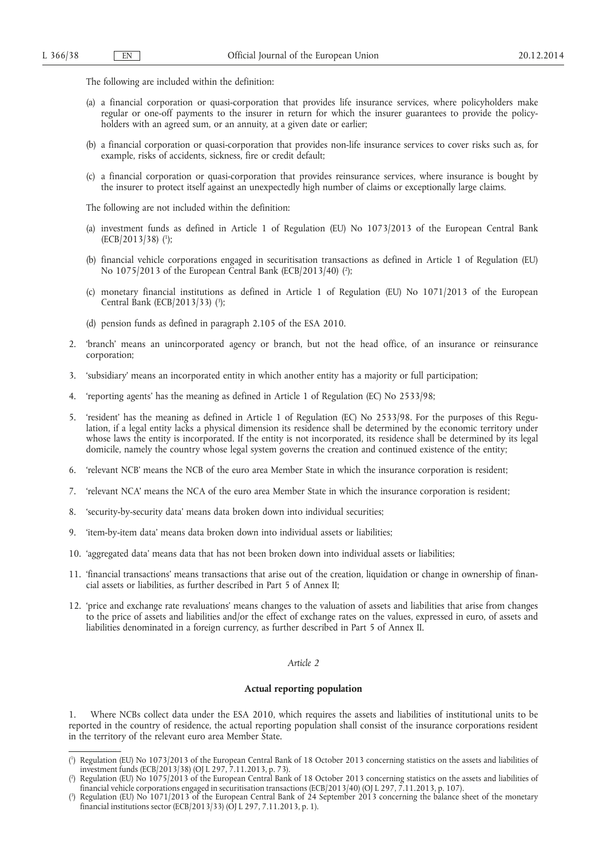The following are included within the definition:

- (a) a financial corporation or quasi-corporation that provides life insurance services, where policyholders make regular or one-off payments to the insurer in return for which the insurer guarantees to provide the policyholders with an agreed sum, or an annuity, at a given date or earlier;
- (b) a financial corporation or quasi-corporation that provides non-life insurance services to cover risks such as, for example, risks of accidents, sickness, fire or credit default;
- (c) a financial corporation or quasi-corporation that provides reinsurance services, where insurance is bought by the insurer to protect itself against an unexpectedly high number of claims or exceptionally large claims.

The following are not included within the definition:

- (a) investment funds as defined in Article 1 of Regulation (EU) No 1073/2013 of the European Central Bank (ECB/2013/38) ( 1 );
- (b) financial vehicle corporations engaged in securitisation transactions as defined in Article 1 of Regulation (EU) No 1075/2013 of the European Central Bank (ECB/2013/40) ( 2 );
- (c) monetary financial institutions as defined in Article 1 of Regulation (EU) No 1071/2013 of the European Central Bank (ECB/2013/33) (<sup>3</sup>);

(d) pension funds as defined in paragraph 2.105 of the ESA 2010.

- 2. 'branch' means an unincorporated agency or branch, but not the head office, of an insurance or reinsurance corporation;
- 3. 'subsidiary' means an incorporated entity in which another entity has a majority or full participation;
- 4. 'reporting agents' has the meaning as defined in Article 1 of Regulation (EC) No 2533/98;
- 5. 'resident' has the meaning as defined in Article 1 of Regulation (EC) No 2533/98. For the purposes of this Regulation, if a legal entity lacks a physical dimension its residence shall be determined by the economic territory under whose laws the entity is incorporated. If the entity is not incorporated, its residence shall be determined by its legal domicile, namely the country whose legal system governs the creation and continued existence of the entity;
- 6. 'relevant NCB' means the NCB of the euro area Member State in which the insurance corporation is resident;
- 7. 'relevant NCA' means the NCA of the euro area Member State in which the insurance corporation is resident;
- 8. 'security-by-security data' means data broken down into individual securities;
- 9. 'item-by-item data' means data broken down into individual assets or liabilities;
- 10. 'aggregated data' means data that has not been broken down into individual assets or liabilities;
- 11. 'financial transactions' means transactions that arise out of the creation, liquidation or change in ownership of financial assets or liabilities, as further described in Part 5 of Annex II;
- 12. 'price and exchange rate revaluations' means changes to the valuation of assets and liabilities that arise from changes to the price of assets and liabilities and/or the effect of exchange rates on the values, expressed in euro, of assets and liabilities denominated in a foreign currency, as further described in Part 5 of Annex II.

## *Article 2*

#### **Actual reporting population**

Where NCBs collect data under the ESA 2010, which requires the assets and liabilities of institutional units to be reported in the country of residence, the actual reporting population shall consist of the insurance corporations resident in the territory of the relevant euro area Member State.

<sup>(</sup> 1 ) Regulation (EU) No 1073/2013 of the European Central Bank of 18 October 2013 concerning statistics on the assets and liabilities of investment funds (ECB/2013/38) (OJ L 297, 7.11.2013, p. 73).

<sup>(</sup> ) Regulation (EU) No 1075/2013 of the European Central Bank of 18 October 2013 concerning statistics on the assets and liabilities of financial vehicle corporations engaged in securitisation transactions (ECB/2013/40) (OJ L 297, 7.11.2013, p. 107).

<sup>(</sup> 3 Regulation (EU) No 1071/2013 of the European Central Bank of 24 September 2013 concerning the balance sheet of the monetary financial institutions sector (ECB/2013/33) (OJ L 297, 7.11.2013, p. 1).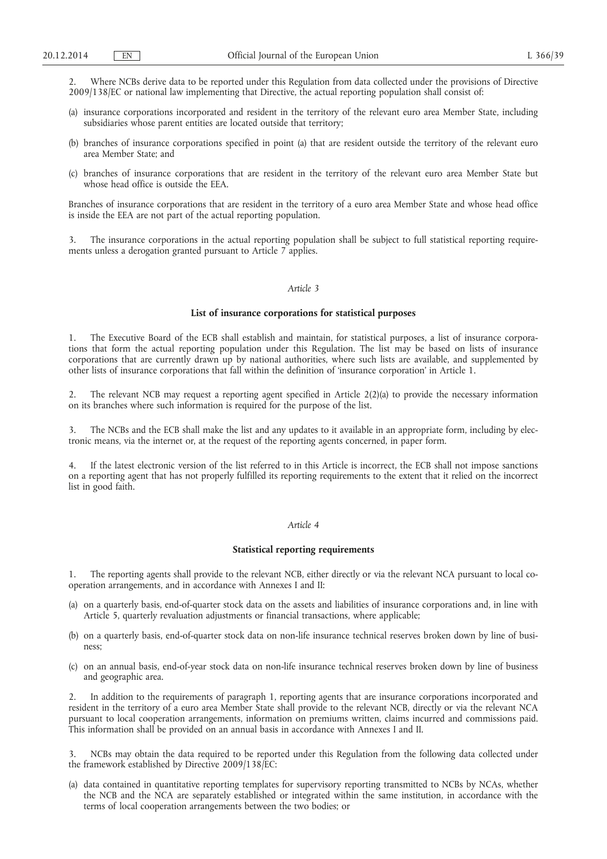2. Where NCBs derive data to be reported under this Regulation from data collected under the provisions of Directive 2009/138/EC or national law implementing that Directive, the actual reporting population shall consist of:

- (a) insurance corporations incorporated and resident in the territory of the relevant euro area Member State, including subsidiaries whose parent entities are located outside that territory;
- (b) branches of insurance corporations specified in point (a) that are resident outside the territory of the relevant euro area Member State; and
- (c) branches of insurance corporations that are resident in the territory of the relevant euro area Member State but whose head office is outside the EEA.

Branches of insurance corporations that are resident in the territory of a euro area Member State and whose head office is inside the EEA are not part of the actual reporting population.

3. The insurance corporations in the actual reporting population shall be subject to full statistical reporting requirements unless a derogation granted pursuant to Article 7 applies.

## *Article 3*

#### **List of insurance corporations for statistical purposes**

1. The Executive Board of the ECB shall establish and maintain, for statistical purposes, a list of insurance corporations that form the actual reporting population under this Regulation. The list may be based on lists of insurance corporations that are currently drawn up by national authorities, where such lists are available, and supplemented by other lists of insurance corporations that fall within the definition of 'insurance corporation' in Article 1.

2. The relevant NCB may request a reporting agent specified in Article 2(2)(a) to provide the necessary information on its branches where such information is required for the purpose of the list.

3. The NCBs and the ECB shall make the list and any updates to it available in an appropriate form, including by electronic means, via the internet or, at the request of the reporting agents concerned, in paper form.

4. If the latest electronic version of the list referred to in this Article is incorrect, the ECB shall not impose sanctions on a reporting agent that has not properly fulfilled its reporting requirements to the extent that it relied on the incorrect list in good faith.

## *Article 4*

## **Statistical reporting requirements**

1. The reporting agents shall provide to the relevant NCB, either directly or via the relevant NCA pursuant to local cooperation arrangements, and in accordance with Annexes I and II:

- (a) on a quarterly basis, end-of-quarter stock data on the assets and liabilities of insurance corporations and, in line with Article 5, quarterly revaluation adjustments or financial transactions, where applicable;
- (b) on a quarterly basis, end-of-quarter stock data on non-life insurance technical reserves broken down by line of business;
- (c) on an annual basis, end-of-year stock data on non-life insurance technical reserves broken down by line of business and geographic area.

2. In addition to the requirements of paragraph 1, reporting agents that are insurance corporations incorporated and resident in the territory of a euro area Member State shall provide to the relevant NCB, directly or via the relevant NCA pursuant to local cooperation arrangements, information on premiums written, claims incurred and commissions paid. This information shall be provided on an annual basis in accordance with Annexes I and II.

NCBs may obtain the data required to be reported under this Regulation from the following data collected under the framework established by Directive 2009/138/EC:

(a) data contained in quantitative reporting templates for supervisory reporting transmitted to NCBs by NCAs, whether the NCB and the NCA are separately established or integrated within the same institution, in accordance with the terms of local cooperation arrangements between the two bodies; or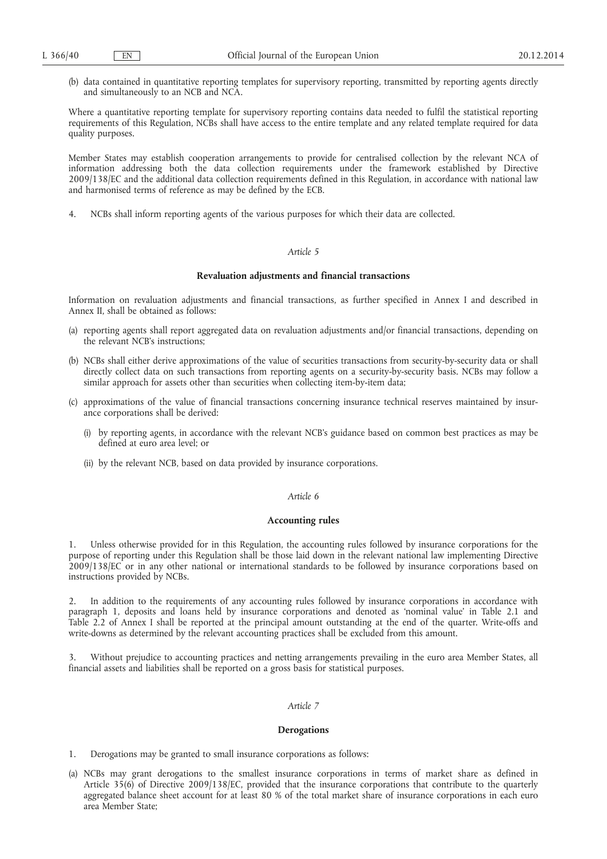(b) data contained in quantitative reporting templates for supervisory reporting, transmitted by reporting agents directly and simultaneously to an NCB and NCA.

Where a quantitative reporting template for supervisory reporting contains data needed to fulfil the statistical reporting requirements of this Regulation, NCBs shall have access to the entire template and any related template required for data quality purposes.

Member States may establish cooperation arrangements to provide for centralised collection by the relevant NCA of information addressing both the data collection requirements under the framework established by Directive 2009/138/EC and the additional data collection requirements defined in this Regulation, in accordance with national law and harmonised terms of reference as may be defined by the ECB.

4. NCBs shall inform reporting agents of the various purposes for which their data are collected.

## *Article 5*

## **Revaluation adjustments and financial transactions**

Information on revaluation adjustments and financial transactions, as further specified in Annex I and described in Annex II, shall be obtained as follows:

- (a) reporting agents shall report aggregated data on revaluation adjustments and/or financial transactions, depending on the relevant NCB's instructions;
- (b) NCBs shall either derive approximations of the value of securities transactions from security-by-security data or shall directly collect data on such transactions from reporting agents on a security-by-security basis. NCBs may follow a similar approach for assets other than securities when collecting item-by-item data;
- (c) approximations of the value of financial transactions concerning insurance technical reserves maintained by insurance corporations shall be derived:
	- (i) by reporting agents, in accordance with the relevant NCB's guidance based on common best practices as may be defined at euro area level; or
	- (ii) by the relevant NCB, based on data provided by insurance corporations.

## *Article 6*

#### **Accounting rules**

1. Unless otherwise provided for in this Regulation, the accounting rules followed by insurance corporations for the purpose of reporting under this Regulation shall be those laid down in the relevant national law implementing Directive 2009/138/EC or in any other national or international standards to be followed by insurance corporations based on instructions provided by NCBs.

2. In addition to the requirements of any accounting rules followed by insurance corporations in accordance with paragraph 1, deposits and loans held by insurance corporations and denoted as 'nominal value' in Table 2.1 and Table 2.2 of Annex I shall be reported at the principal amount outstanding at the end of the quarter. Write-offs and write-downs as determined by the relevant accounting practices shall be excluded from this amount.

3. Without prejudice to accounting practices and netting arrangements prevailing in the euro area Member States, all financial assets and liabilities shall be reported on a gross basis for statistical purposes.

## *Article 7*

#### **Derogations**

1. Derogations may be granted to small insurance corporations as follows:

(a) NCBs may grant derogations to the smallest insurance corporations in terms of market share as defined in Article 35(6) of Directive 2009/138/EC, provided that the insurance corporations that contribute to the quarterly aggregated balance sheet account for at least 80 % of the total market share of insurance corporations in each euro area Member State;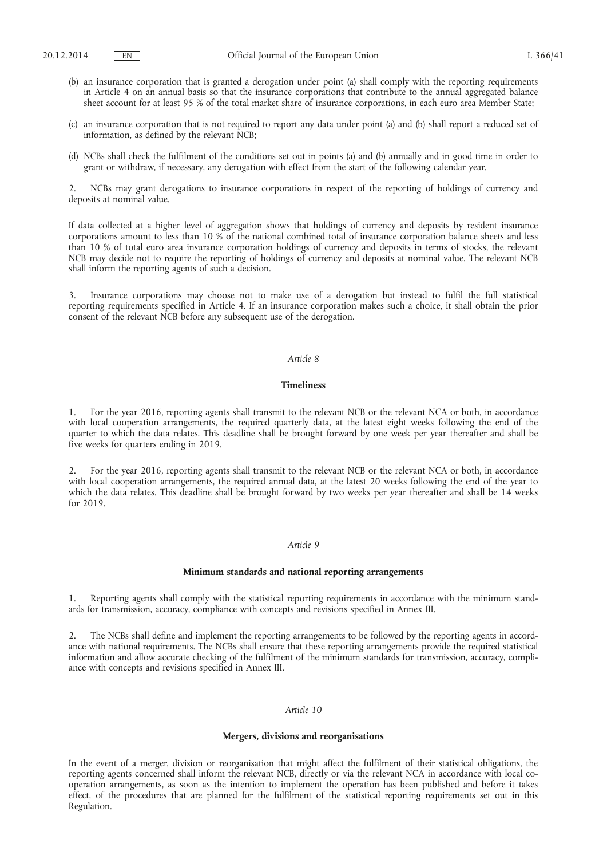- (b) an insurance corporation that is granted a derogation under point (a) shall comply with the reporting requirements in Article 4 on an annual basis so that the insurance corporations that contribute to the annual aggregated balance sheet account for at least 95 % of the total market share of insurance corporations, in each euro area Member State;
- (c) an insurance corporation that is not required to report any data under point (a) and (b) shall report a reduced set of information, as defined by the relevant NCB;
- (d) NCBs shall check the fulfilment of the conditions set out in points (a) and (b) annually and in good time in order to grant or withdraw, if necessary, any derogation with effect from the start of the following calendar year.

2. NCBs may grant derogations to insurance corporations in respect of the reporting of holdings of currency and deposits at nominal value.

If data collected at a higher level of aggregation shows that holdings of currency and deposits by resident insurance corporations amount to less than 10 % of the national combined total of insurance corporation balance sheets and less than 10 % of total euro area insurance corporation holdings of currency and deposits in terms of stocks, the relevant NCB may decide not to require the reporting of holdings of currency and deposits at nominal value. The relevant NCB shall inform the reporting agents of such a decision.

3. Insurance corporations may choose not to make use of a derogation but instead to fulfil the full statistical reporting requirements specified in Article 4. If an insurance corporation makes such a choice, it shall obtain the prior consent of the relevant NCB before any subsequent use of the derogation.

## *Article 8*

## **Timeliness**

1. For the year 2016, reporting agents shall transmit to the relevant NCB or the relevant NCA or both, in accordance with local cooperation arrangements, the required quarterly data, at the latest eight weeks following the end of the quarter to which the data relates. This deadline shall be brought forward by one week per year thereafter and shall be five weeks for quarters ending in 2019.

2. For the year 2016, reporting agents shall transmit to the relevant NCB or the relevant NCA or both, in accordance with local cooperation arrangements, the required annual data, at the latest 20 weeks following the end of the year to which the data relates. This deadline shall be brought forward by two weeks per year thereafter and shall be 14 weeks for 2019.

## *Article 9*

#### **Minimum standards and national reporting arrangements**

Reporting agents shall comply with the statistical reporting requirements in accordance with the minimum standards for transmission, accuracy, compliance with concepts and revisions specified in Annex III.

2. The NCBs shall define and implement the reporting arrangements to be followed by the reporting agents in accordance with national requirements. The NCBs shall ensure that these reporting arrangements provide the required statistical information and allow accurate checking of the fulfilment of the minimum standards for transmission, accuracy, compliance with concepts and revisions specified in Annex III.

## *Article 10*

#### **Mergers, divisions and reorganisations**

In the event of a merger, division or reorganisation that might affect the fulfilment of their statistical obligations, the reporting agents concerned shall inform the relevant NCB, directly or via the relevant NCA in accordance with local cooperation arrangements, as soon as the intention to implement the operation has been published and before it takes effect, of the procedures that are planned for the fulfilment of the statistical reporting requirements set out in this Regulation.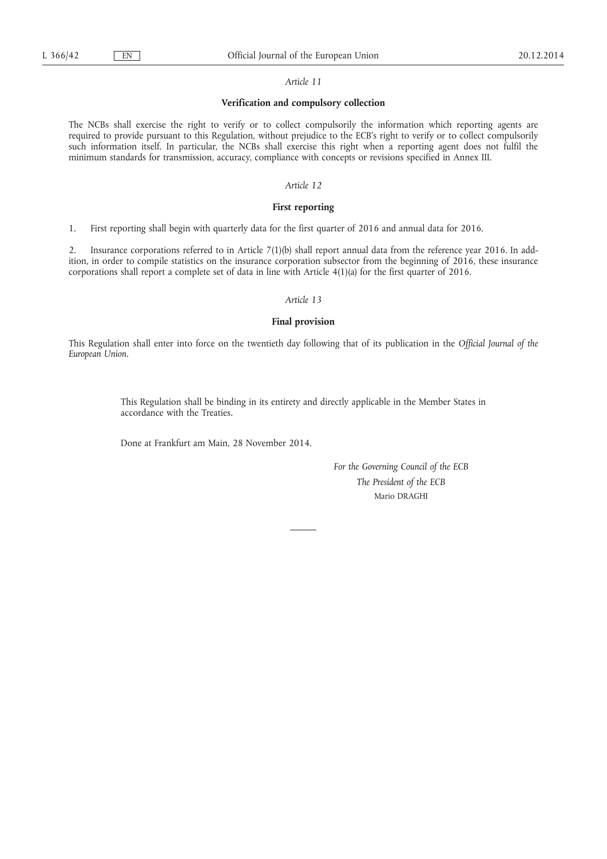#### *Article 11*

#### **Verification and compulsory collection**

The NCBs shall exercise the right to verify or to collect compulsorily the information which reporting agents are required to provide pursuant to this Regulation, without prejudice to the ECB's right to verify or to collect compulsorily such information itself. In particular, the NCBs shall exercise this right when a reporting agent does not fulfil the minimum standards for transmission, accuracy, compliance with concepts or revisions specified in Annex III.

## *Article 12*

## **First reporting**

1. First reporting shall begin with quarterly data for the first quarter of 2016 and annual data for 2016.

2. Insurance corporations referred to in Article 7(1)(b) shall report annual data from the reference year 2016. In addition, in order to compile statistics on the insurance corporation subsector from the beginning of 2016, these insurance corporations shall report a complete set of data in line with Article 4(1)(a) for the first quarter of 2016.

## *Article 13*

## **Final provision**

This Regulation shall enter into force on the twentieth day following that of its publication in the *Official Journal of the European Union*.

> This Regulation shall be binding in its entirety and directly applicable in the Member States in accordance with the Treaties.

Done at Frankfurt am Main, 28 November 2014.

*For the Governing Council of the ECB The President of the ECB*  Mario DRAGHI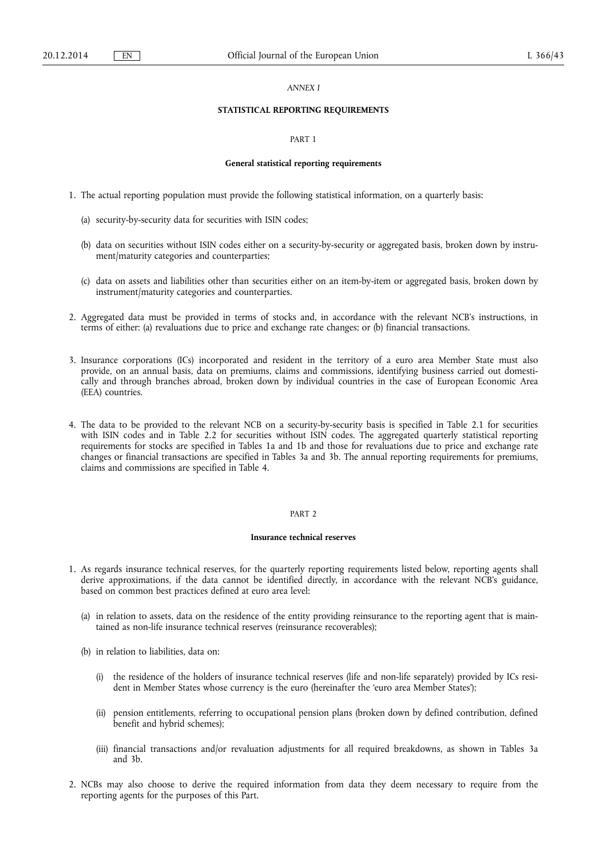## *ANNEX I*

## **STATISTICAL REPORTING REQUIREMENTS**

#### PART 1

#### **General statistical reporting requirements**

- 1. The actual reporting population must provide the following statistical information, on a quarterly basis:
	- (a) security-by-security data for securities with ISIN codes;
	- (b) data on securities without ISIN codes either on a security-by-security or aggregated basis, broken down by instrument/maturity categories and counterparties;
	- (c) data on assets and liabilities other than securities either on an item-by-item or aggregated basis, broken down by instrument/maturity categories and counterparties.
- 2. Aggregated data must be provided in terms of stocks and, in accordance with the relevant NCB's instructions, in terms of either: (a) revaluations due to price and exchange rate changes; or (b) financial transactions.
- 3. Insurance corporations (ICs) incorporated and resident in the territory of a euro area Member State must also provide, on an annual basis, data on premiums, claims and commissions, identifying business carried out domestically and through branches abroad, broken down by individual countries in the case of European Economic Area (EEA) countries.
- 4. The data to be provided to the relevant NCB on a security-by-security basis is specified in Table 2.1 for securities with ISIN codes and in Table 2.2 for securities without ISIN codes. The aggregated quarterly statistical reporting requirements for stocks are specified in Tables 1a and 1b and those for revaluations due to price and exchange rate changes or financial transactions are specified in Tables 3a and 3b. The annual reporting requirements for premiums, claims and commissions are specified in Table 4.

## PART<sub>2</sub>

#### **Insurance technical reserves**

- 1. As regards insurance technical reserves, for the quarterly reporting requirements listed below, reporting agents shall derive approximations, if the data cannot be identified directly, in accordance with the relevant NCB's guidance, based on common best practices defined at euro area level:
	- (a) in relation to assets, data on the residence of the entity providing reinsurance to the reporting agent that is maintained as non-life insurance technical reserves (reinsurance recoverables);
	- (b) in relation to liabilities, data on:
		- (i) the residence of the holders of insurance technical reserves (life and non-life separately) provided by ICs resident in Member States whose currency is the euro (hereinafter the 'euro area Member States');
		- (ii) pension entitlements, referring to occupational pension plans (broken down by defined contribution, defined benefit and hybrid schemes);
		- (iii) financial transactions and/or revaluation adjustments for all required breakdowns, as shown in Tables 3a and 3b.
- 2. NCBs may also choose to derive the required information from data they deem necessary to require from the reporting agents for the purposes of this Part.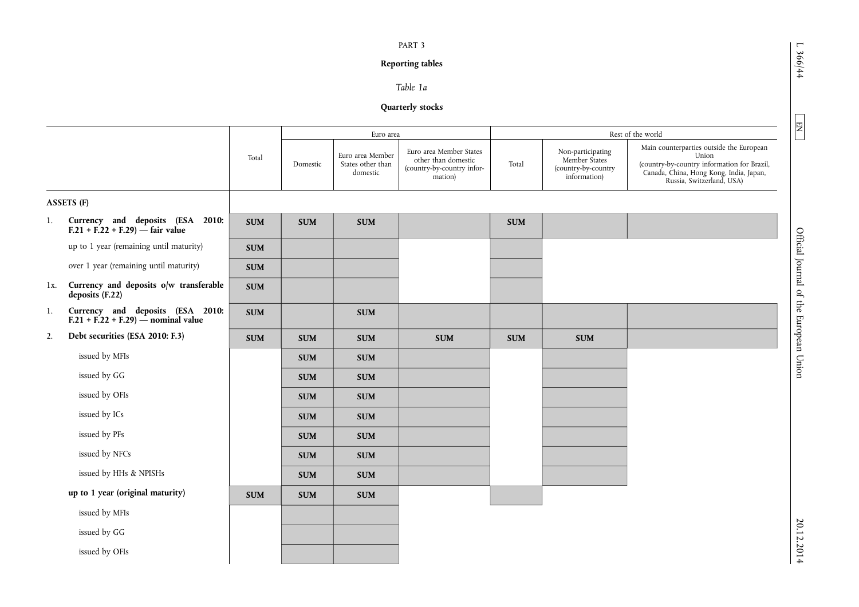# **Reporting tables**

# *Table 1a*

# **Quarterly stocks**

|        |                                                                          |                          |            | Euro area                                         |                                                                                         |            |                                                                           | Rest of the world                                                                                                                                                        |
|--------|--------------------------------------------------------------------------|--------------------------|------------|---------------------------------------------------|-----------------------------------------------------------------------------------------|------------|---------------------------------------------------------------------------|--------------------------------------------------------------------------------------------------------------------------------------------------------------------------|
|        |                                                                          | Total                    | Domestic   | Euro area Member<br>States other than<br>domestic | Euro area Member States<br>other than domestic<br>(country-by-country infor-<br>mation) | Total      | Non-participating<br>Member States<br>(country-by-country<br>information) | Main counterparties outside the European<br>Union<br>(country-by-country information for Brazil,<br>Canada, China, Hong Kong, India, Japan,<br>Russia, Switzerland, USA) |
|        | <b>ASSETS (F)</b>                                                        |                          |            |                                                   |                                                                                         |            |                                                                           |                                                                                                                                                                          |
| 1.     | Currency and deposits (ESA 2010:<br>$F.21 + F.22 + F.29$ - fair value    | <b>SUM</b>               | <b>SUM</b> | <b>SUM</b>                                        |                                                                                         | <b>SUM</b> |                                                                           |                                                                                                                                                                          |
|        | up to 1 year (remaining until maturity)                                  | <b>SUM</b>               |            |                                                   |                                                                                         |            |                                                                           |                                                                                                                                                                          |
|        | over 1 year (remaining until maturity)                                   | $\pmb{\quad \text{SUM}}$ |            |                                                   |                                                                                         |            |                                                                           |                                                                                                                                                                          |
| $1x$ . | Currency and deposits o/w transferable<br>deposits (F.22)                | <b>SUM</b>               |            |                                                   |                                                                                         |            |                                                                           |                                                                                                                                                                          |
| 1.     | Currency and deposits (ESA 2010:<br>$F.21 + F.22 + F.29$ - nominal value | $\pmb{\quad \text{SUM}}$ |            | <b>SUM</b>                                        |                                                                                         |            |                                                                           |                                                                                                                                                                          |
| 2.     | Debt securities (ESA 2010: F.3)                                          | <b>SUM</b>               | <b>SUM</b> | <b>SUM</b>                                        | <b>SUM</b>                                                                              | <b>SUM</b> | <b>SUM</b>                                                                |                                                                                                                                                                          |
|        | issued by MFIs                                                           |                          | <b>SUM</b> | <b>SUM</b>                                        |                                                                                         |            |                                                                           |                                                                                                                                                                          |
|        | issued by GG                                                             |                          | <b>SUM</b> | <b>SUM</b>                                        |                                                                                         |            |                                                                           |                                                                                                                                                                          |
|        | issued by OFIs                                                           |                          | <b>SUM</b> | <b>SUM</b>                                        |                                                                                         |            |                                                                           |                                                                                                                                                                          |
|        | issued by ICs                                                            |                          | <b>SUM</b> | <b>SUM</b>                                        |                                                                                         |            |                                                                           |                                                                                                                                                                          |
|        | issued by PFs                                                            |                          | <b>SUM</b> | <b>SUM</b>                                        |                                                                                         |            |                                                                           |                                                                                                                                                                          |
|        | issued by NFCs                                                           |                          | <b>SUM</b> | <b>SUM</b>                                        |                                                                                         |            |                                                                           |                                                                                                                                                                          |
|        | issued by HHs & NPISHs                                                   |                          | <b>SUM</b> | <b>SUM</b>                                        |                                                                                         |            |                                                                           |                                                                                                                                                                          |
|        | up to 1 year (original maturity)                                         | $\pmb{\quad \text{SUM}}$ | <b>SUM</b> | <b>SUM</b>                                        |                                                                                         |            |                                                                           |                                                                                                                                                                          |
|        | issued by MFIs                                                           |                          |            |                                                   |                                                                                         |            |                                                                           |                                                                                                                                                                          |
|        | issued by GG                                                             |                          |            |                                                   |                                                                                         |            |                                                                           |                                                                                                                                                                          |
|        | issued by OFIs                                                           |                          |            |                                                   |                                                                                         |            |                                                                           |                                                                                                                                                                          |
|        |                                                                          |                          |            |                                                   |                                                                                         |            |                                                                           |                                                                                                                                                                          |

 $1.366/44$ 

 $\boxed{\phantom{000} \text{EM}}$ 

L 366/44  $\Box$  EN  $\Box$  EN  $\Box$ Official Journal of the European Union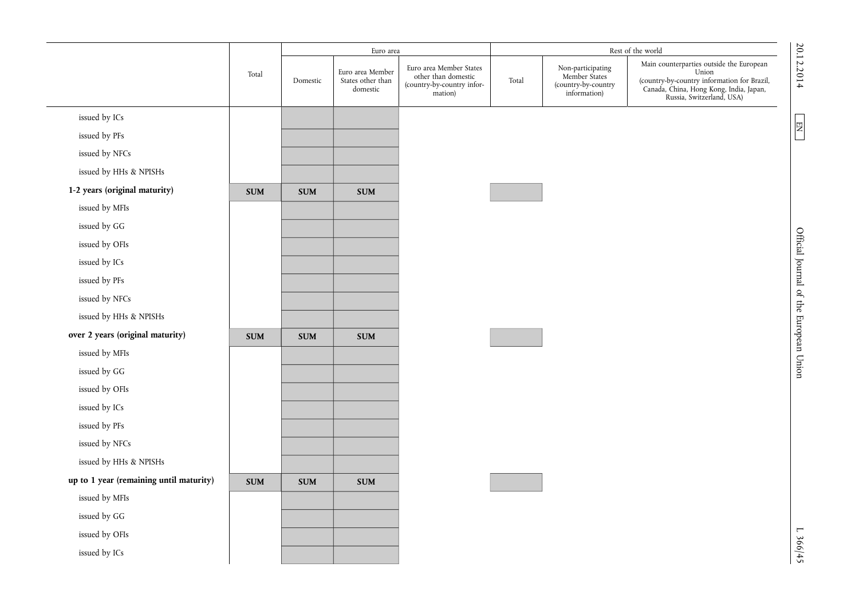|                                         |            |            | Euro area                                         |                                                                                                  |                                                                           | Rest of the world                                                                                                                                                        |
|-----------------------------------------|------------|------------|---------------------------------------------------|--------------------------------------------------------------------------------------------------|---------------------------------------------------------------------------|--------------------------------------------------------------------------------------------------------------------------------------------------------------------------|
|                                         | Total      | Domestic   | Euro area Member<br>States other than<br>domestic | Euro area Member States<br>other than domestic<br>Total<br>(country-by-country infor-<br>mation) | Non-participating<br>Member States<br>(country-by-country<br>information) | Main counterparties outside the European<br>Union<br>(country-by-country information for Brazil,<br>Canada, China, Hong Kong, India, Japan,<br>Russia, Switzerland, USA) |
| issued by ICs                           |            |            |                                                   |                                                                                                  |                                                                           |                                                                                                                                                                          |
| issued by PFs                           |            |            |                                                   |                                                                                                  |                                                                           |                                                                                                                                                                          |
| issued by NFCs                          |            |            |                                                   |                                                                                                  |                                                                           |                                                                                                                                                                          |
| issued by HHs & NPISHs                  |            |            |                                                   |                                                                                                  |                                                                           |                                                                                                                                                                          |
| 1-2 years (original maturity)           | <b>SUM</b> | <b>SUM</b> | <b>SUM</b>                                        |                                                                                                  |                                                                           |                                                                                                                                                                          |
| issued by MFIs                          |            |            |                                                   |                                                                                                  |                                                                           |                                                                                                                                                                          |
| issued by GG                            |            |            |                                                   |                                                                                                  |                                                                           |                                                                                                                                                                          |
| issued by OFIs                          |            |            |                                                   |                                                                                                  |                                                                           |                                                                                                                                                                          |
| issued by ICs                           |            |            |                                                   |                                                                                                  |                                                                           |                                                                                                                                                                          |
| issued by PFs                           |            |            |                                                   |                                                                                                  |                                                                           |                                                                                                                                                                          |
| issued by NFCs                          |            |            |                                                   |                                                                                                  |                                                                           |                                                                                                                                                                          |
| issued by HHs & NPISHs                  |            |            |                                                   |                                                                                                  |                                                                           |                                                                                                                                                                          |
| over 2 years (original maturity)        | <b>SUM</b> | <b>SUM</b> | <b>SUM</b>                                        |                                                                                                  |                                                                           |                                                                                                                                                                          |
| issued by MFIs                          |            |            |                                                   |                                                                                                  |                                                                           |                                                                                                                                                                          |
| issued by GG                            |            |            |                                                   |                                                                                                  |                                                                           |                                                                                                                                                                          |
| issued by OFIs                          |            |            |                                                   |                                                                                                  |                                                                           |                                                                                                                                                                          |
| issued by ICs                           |            |            |                                                   |                                                                                                  |                                                                           |                                                                                                                                                                          |
| issued by PFs                           |            |            |                                                   |                                                                                                  |                                                                           |                                                                                                                                                                          |
| issued by NFCs                          |            |            |                                                   |                                                                                                  |                                                                           |                                                                                                                                                                          |
| issued by HHs & NPISHs                  |            |            |                                                   |                                                                                                  |                                                                           |                                                                                                                                                                          |
| up to 1 year (remaining until maturity) | <b>SUM</b> | <b>SUM</b> | <b>SUM</b>                                        |                                                                                                  |                                                                           |                                                                                                                                                                          |
| issued by MFIs                          |            |            |                                                   |                                                                                                  |                                                                           |                                                                                                                                                                          |
| issued by GG                            |            |            |                                                   |                                                                                                  |                                                                           |                                                                                                                                                                          |
| issued by OFIs                          |            |            |                                                   |                                                                                                  |                                                                           |                                                                                                                                                                          |
| issued by ICs                           |            |            |                                                   |                                                                                                  |                                                                           |                                                                                                                                                                          |
|                                         |            |            |                                                   |                                                                                                  |                                                                           |                                                                                                                                                                          |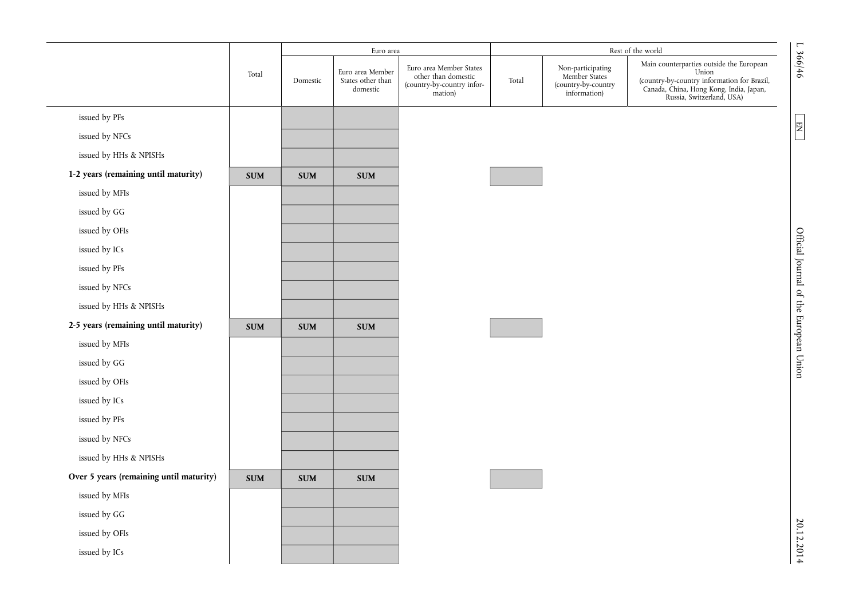|                                         |            |            | Euro area                                         |                                                                                         |       |                                                                           | Rest of the world                                                                                                                                                        |
|-----------------------------------------|------------|------------|---------------------------------------------------|-----------------------------------------------------------------------------------------|-------|---------------------------------------------------------------------------|--------------------------------------------------------------------------------------------------------------------------------------------------------------------------|
|                                         | Total      | Domestic   | Euro area Member<br>States other than<br>domestic | Euro area Member States<br>other than domestic<br>(country-by-country infor-<br>mation) | Total | Non-participating<br>Member States<br>(country-by-country<br>information) | Main counterparties outside the European<br>Union<br>(country-by-country information for Brazil,<br>Canada, China, Hong Kong, India, Japan,<br>Russia, Switzerland, USA) |
| issued by PFs                           |            |            |                                                   |                                                                                         |       |                                                                           |                                                                                                                                                                          |
| issued by NFCs                          |            |            |                                                   |                                                                                         |       |                                                                           |                                                                                                                                                                          |
| issued by HHs & NPISHs                  |            |            |                                                   |                                                                                         |       |                                                                           |                                                                                                                                                                          |
| 1-2 years (remaining until maturity)    | <b>SUM</b> | <b>SUM</b> | <b>SUM</b>                                        |                                                                                         |       |                                                                           |                                                                                                                                                                          |
| issued by MFIs                          |            |            |                                                   |                                                                                         |       |                                                                           |                                                                                                                                                                          |
| issued by GG                            |            |            |                                                   |                                                                                         |       |                                                                           |                                                                                                                                                                          |
| issued by OFIs                          |            |            |                                                   |                                                                                         |       |                                                                           |                                                                                                                                                                          |
| issued by ICs                           |            |            |                                                   |                                                                                         |       |                                                                           |                                                                                                                                                                          |
| issued by PFs                           |            |            |                                                   |                                                                                         |       |                                                                           |                                                                                                                                                                          |
| issued by NFCs                          |            |            |                                                   |                                                                                         |       |                                                                           |                                                                                                                                                                          |
| issued by HHs & NPISHs                  |            |            |                                                   |                                                                                         |       |                                                                           |                                                                                                                                                                          |
| 2-5 years (remaining until maturity)    | <b>SUM</b> | <b>SUM</b> | <b>SUM</b>                                        |                                                                                         |       |                                                                           |                                                                                                                                                                          |
| issued by MFIs                          |            |            |                                                   |                                                                                         |       |                                                                           |                                                                                                                                                                          |
| issued by GG                            |            |            |                                                   |                                                                                         |       |                                                                           |                                                                                                                                                                          |
| issued by OFIs                          |            |            |                                                   |                                                                                         |       |                                                                           |                                                                                                                                                                          |
| issued by ICs                           |            |            |                                                   |                                                                                         |       |                                                                           |                                                                                                                                                                          |
| issued by PFs                           |            |            |                                                   |                                                                                         |       |                                                                           |                                                                                                                                                                          |
| issued by NFCs                          |            |            |                                                   |                                                                                         |       |                                                                           |                                                                                                                                                                          |
| issued by HHs & NPISHs                  |            |            |                                                   |                                                                                         |       |                                                                           |                                                                                                                                                                          |
| Over 5 years (remaining until maturity) | <b>SUM</b> | <b>SUM</b> | <b>SUM</b>                                        |                                                                                         |       |                                                                           |                                                                                                                                                                          |
| issued by MFIs                          |            |            |                                                   |                                                                                         |       |                                                                           |                                                                                                                                                                          |
| issued by GG                            |            |            |                                                   |                                                                                         |       |                                                                           |                                                                                                                                                                          |
| issued by OFIs                          |            |            |                                                   |                                                                                         |       |                                                                           |                                                                                                                                                                          |
| issued by ICs                           |            |            |                                                   |                                                                                         |       |                                                                           |                                                                                                                                                                          |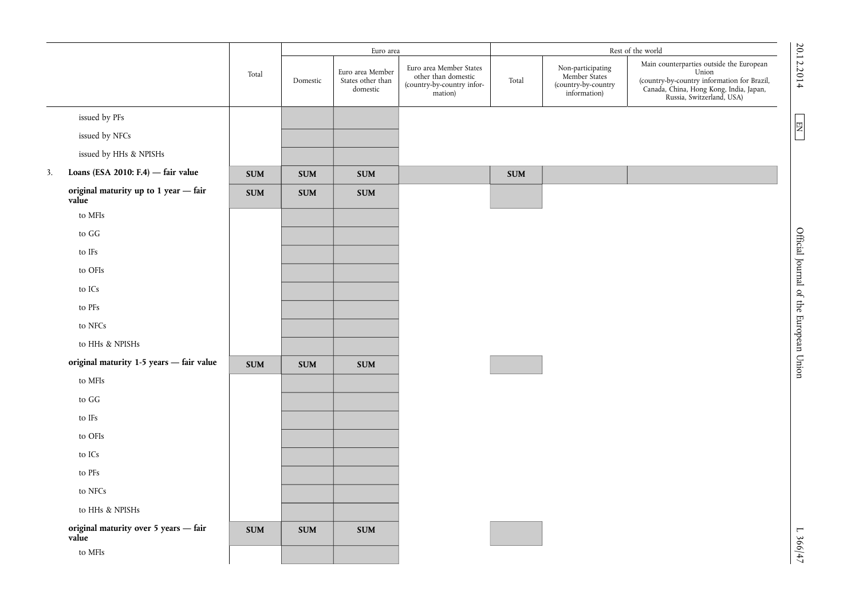|    |                                                |                          |            | Euro area                                         |                                                                                         | Rest of the world |                                                                           |                                                                                                                                                                          |  |
|----|------------------------------------------------|--------------------------|------------|---------------------------------------------------|-----------------------------------------------------------------------------------------|-------------------|---------------------------------------------------------------------------|--------------------------------------------------------------------------------------------------------------------------------------------------------------------------|--|
|    |                                                | Total                    | Domestic   | Euro area Member<br>States other than<br>domestic | Euro area Member States<br>other than domestic<br>(country-by-country infor-<br>mation) | Total             | Non-participating<br>Member States<br>(country-by-country<br>information) | Main counterparties outside the European<br>Union<br>(country-by-country information for Brazil,<br>Canada, China, Hong Kong, India, Japan,<br>Russia, Switzerland, USA) |  |
|    | issued by PFs                                  |                          |            |                                                   |                                                                                         |                   |                                                                           |                                                                                                                                                                          |  |
|    | issued by NFCs                                 |                          |            |                                                   |                                                                                         |                   |                                                                           |                                                                                                                                                                          |  |
|    | issued by HHs & NPISHs                         |                          |            |                                                   |                                                                                         |                   |                                                                           |                                                                                                                                                                          |  |
| 3. | Loans (ESA 2010: F.4) $-$ fair value           | $\pmb{\quad \text{SUM}}$ | <b>SUM</b> | <b>SUM</b>                                        |                                                                                         | <b>SUM</b>        |                                                                           |                                                                                                                                                                          |  |
|    | original maturity up to 1 year - fair<br>value | <b>SUM</b>               | <b>SUM</b> | <b>SUM</b>                                        |                                                                                         |                   |                                                                           |                                                                                                                                                                          |  |
|    | to MFIs                                        |                          |            |                                                   |                                                                                         |                   |                                                                           |                                                                                                                                                                          |  |
|    | to GG                                          |                          |            |                                                   |                                                                                         |                   |                                                                           |                                                                                                                                                                          |  |
|    | to IFs                                         |                          |            |                                                   |                                                                                         |                   |                                                                           |                                                                                                                                                                          |  |
|    | to OFIs                                        |                          |            |                                                   |                                                                                         |                   |                                                                           |                                                                                                                                                                          |  |
|    | to ICs                                         |                          |            |                                                   |                                                                                         |                   |                                                                           |                                                                                                                                                                          |  |
|    | to PFs                                         |                          |            |                                                   |                                                                                         |                   |                                                                           |                                                                                                                                                                          |  |
|    | to NFCs                                        |                          |            |                                                   |                                                                                         |                   |                                                                           |                                                                                                                                                                          |  |
|    | to HHs & NPISHs                                |                          |            |                                                   |                                                                                         |                   |                                                                           |                                                                                                                                                                          |  |
|    | original maturity 1-5 years - fair value       | $\pmb{\quad \text{SUM}}$ | <b>SUM</b> | <b>SUM</b>                                        |                                                                                         |                   |                                                                           |                                                                                                                                                                          |  |
|    | to MFIs                                        |                          |            |                                                   |                                                                                         |                   |                                                                           |                                                                                                                                                                          |  |
|    | to GG                                          |                          |            |                                                   |                                                                                         |                   |                                                                           |                                                                                                                                                                          |  |
|    | to IFs                                         |                          |            |                                                   |                                                                                         |                   |                                                                           |                                                                                                                                                                          |  |
|    | to OFIs                                        |                          |            |                                                   |                                                                                         |                   |                                                                           |                                                                                                                                                                          |  |
|    | to ICs                                         |                          |            |                                                   |                                                                                         |                   |                                                                           |                                                                                                                                                                          |  |
|    | to PFs                                         |                          |            |                                                   |                                                                                         |                   |                                                                           |                                                                                                                                                                          |  |
|    | to ${\rm NFCs}$                                |                          |            |                                                   |                                                                                         |                   |                                                                           |                                                                                                                                                                          |  |
|    | to HHs & NPISHs                                |                          |            |                                                   |                                                                                         |                   |                                                                           |                                                                                                                                                                          |  |
|    | original maturity over 5 years - fair<br>value | $\pmb{\quad \text{SUM}}$ | <b>SUM</b> | <b>SUM</b>                                        |                                                                                         |                   |                                                                           |                                                                                                                                                                          |  |
|    | to MFIs                                        |                          |            |                                                   |                                                                                         |                   |                                                                           |                                                                                                                                                                          |  |

20.12.2014 L  $\overline{D}$  D  $\overline{D}$  D  $\overline{D}$  D  $\overline{D}$  D  $\overline{D}$  Official Journal of the European Union Engineer  $\overline{D}$  D  $\overline{D}$  D  $\overline{D}$  D  $\overline{D}$  D  $\overline{D}$  D  $\overline{D}$  D  $\overline{D}$ 

Official Journal of the European Union

 $1.366/47$ 

 $\frac{20.12.2014}{ }$ 

 $\boxed{\text{EN}}$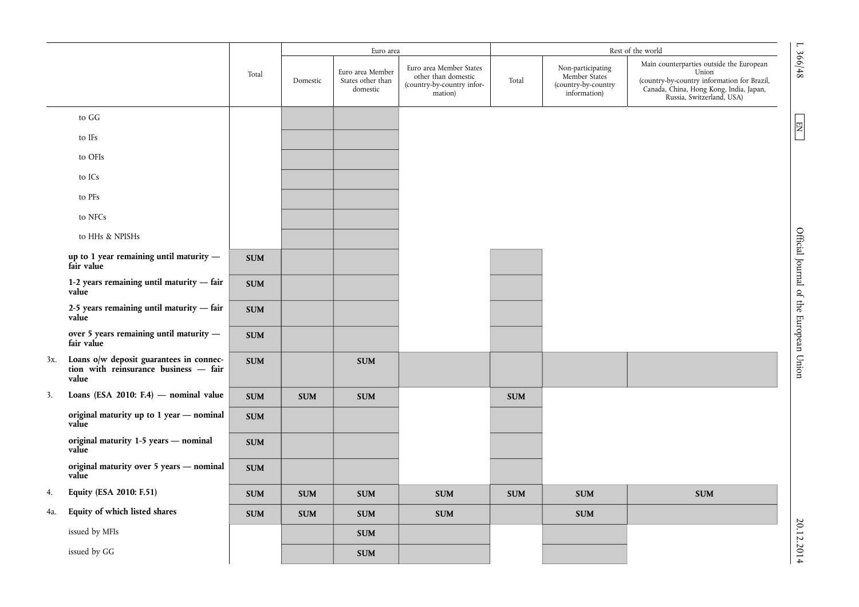|     |                                                                                             |            |            | Euro area                                         |                                                                                         |            |                                                                           | Rest of the world                                                                                                                                                        |                                        |
|-----|---------------------------------------------------------------------------------------------|------------|------------|---------------------------------------------------|-----------------------------------------------------------------------------------------|------------|---------------------------------------------------------------------------|--------------------------------------------------------------------------------------------------------------------------------------------------------------------------|----------------------------------------|
|     |                                                                                             | Total      | Domestic   | Euro area Member<br>States other than<br>domestic | Euro area Member States<br>other than domestic<br>(country-by-country infor-<br>mation) | Total      | Non-participating<br>Member States<br>(country-by-country<br>information) | Main counterparties outside the European<br>Union<br>(country-by-country information for Brazil,<br>Canada, China, Hong Kong, India, Japan,<br>Russia, Switzerland, USA) | $L \frac{366}{48}$                     |
|     | to GG                                                                                       |            |            |                                                   |                                                                                         |            |                                                                           |                                                                                                                                                                          |                                        |
|     | to IFs                                                                                      |            |            |                                                   |                                                                                         |            |                                                                           |                                                                                                                                                                          | 四                                      |
|     | to OFIs                                                                                     |            |            |                                                   |                                                                                         |            |                                                                           |                                                                                                                                                                          |                                        |
|     | to ICs                                                                                      |            |            |                                                   |                                                                                         |            |                                                                           |                                                                                                                                                                          |                                        |
|     | to PFs                                                                                      |            |            |                                                   |                                                                                         |            |                                                                           |                                                                                                                                                                          |                                        |
|     | to NFCs                                                                                     |            |            |                                                   |                                                                                         |            |                                                                           |                                                                                                                                                                          |                                        |
|     | to HHs & NPISHs                                                                             |            |            |                                                   |                                                                                         |            |                                                                           |                                                                                                                                                                          |                                        |
|     | up to 1 year remaining until maturity $-$<br>fair value                                     | <b>SUM</b> |            |                                                   |                                                                                         |            |                                                                           |                                                                                                                                                                          | Official Journal of the European Union |
|     | 1-2 years remaining until maturity - fair<br>value                                          | <b>SUM</b> |            |                                                   |                                                                                         |            |                                                                           |                                                                                                                                                                          |                                        |
|     | 2-5 years remaining until maturity - fair<br>value                                          | <b>SUM</b> |            |                                                   |                                                                                         |            |                                                                           |                                                                                                                                                                          |                                        |
|     | over 5 years remaining until maturity -<br>fair value                                       | <b>SUM</b> |            |                                                   |                                                                                         |            |                                                                           |                                                                                                                                                                          |                                        |
| 3x. | Loans o/w deposit guarantees in connec-<br>tion with reinsurance business $-$ fair<br>value | <b>SUM</b> |            | <b>SUM</b>                                        |                                                                                         |            |                                                                           |                                                                                                                                                                          |                                        |
| 3.  | Loans (ESA 2010: F.4) $-$ nominal value                                                     | <b>SUM</b> | <b>SUM</b> | <b>SUM</b>                                        |                                                                                         | <b>SUM</b> |                                                                           |                                                                                                                                                                          |                                        |
|     | original maturity up to 1 year - nominal<br>value                                           | <b>SUM</b> |            |                                                   |                                                                                         |            |                                                                           |                                                                                                                                                                          |                                        |
|     | original maturity 1-5 years - nominal<br>value                                              | <b>SUM</b> |            |                                                   |                                                                                         |            |                                                                           |                                                                                                                                                                          |                                        |
|     | original maturity over 5 years - nominal<br>value                                           | <b>SUM</b> |            |                                                   |                                                                                         |            |                                                                           |                                                                                                                                                                          |                                        |
| 4.  | Equity (ESA 2010: F.51)                                                                     | <b>SUM</b> | <b>SUM</b> | <b>SUM</b>                                        | $\pmb{\quad \text{SUM}}$                                                                | <b>SUM</b> | <b>SUM</b>                                                                | <b>SUM</b>                                                                                                                                                               |                                        |
| 4a. | Equity of which listed shares                                                               | <b>SUM</b> | <b>SUM</b> | <b>SUM</b>                                        | <b>SUM</b>                                                                              |            | <b>SUM</b>                                                                |                                                                                                                                                                          |                                        |
|     | issued by MFIs                                                                              |            |            | <b>SUM</b>                                        |                                                                                         |            |                                                                           |                                                                                                                                                                          | 20.12.2014                             |
|     | issued by GG                                                                                |            |            | <b>SUM</b>                                        |                                                                                         |            |                                                                           |                                                                                                                                                                          |                                        |

20.12.2014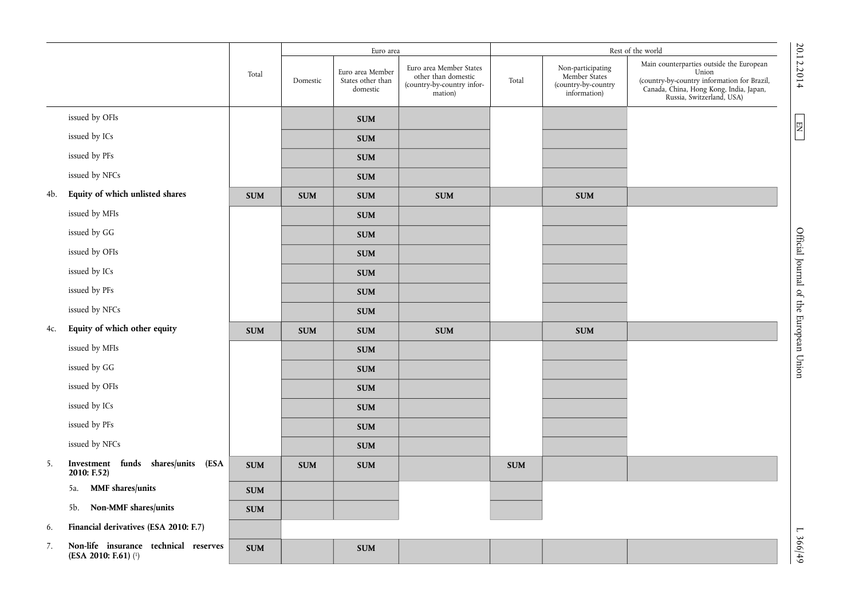|     |                                                               |            |            | Euro area                                         |                                                                                         | Rest of the world |                                                                           |                                                                                                                                                                          |                                        |
|-----|---------------------------------------------------------------|------------|------------|---------------------------------------------------|-----------------------------------------------------------------------------------------|-------------------|---------------------------------------------------------------------------|--------------------------------------------------------------------------------------------------------------------------------------------------------------------------|----------------------------------------|
|     |                                                               | Total      | Domestic   | Euro area Member<br>States other than<br>domestic | Euro area Member States<br>other than domestic<br>(country-by-country infor-<br>mation) | Total             | Non-participating<br>Member States<br>(country-by-country<br>information) | Main counterparties outside the European<br>Union<br>(country-by-country information for Brazil,<br>Canada, China, Hong Kong, India, Japan,<br>Russia, Switzerland, USA) | 20.12.2014                             |
|     | issued by OFIs                                                |            |            | <b>SUM</b>                                        |                                                                                         |                   |                                                                           |                                                                                                                                                                          |                                        |
|     | issued by ICs                                                 |            |            | <b>SUM</b>                                        |                                                                                         |                   |                                                                           |                                                                                                                                                                          | 罔                                      |
|     | issued by PFs                                                 |            |            | <b>SUM</b>                                        |                                                                                         |                   |                                                                           |                                                                                                                                                                          |                                        |
|     | issued by NFCs                                                |            |            | <b>SUM</b>                                        |                                                                                         |                   |                                                                           |                                                                                                                                                                          |                                        |
| 4b. | Equity of which unlisted shares                               | <b>SUM</b> | <b>SUM</b> | <b>SUM</b>                                        | <b>SUM</b>                                                                              |                   | <b>SUM</b>                                                                |                                                                                                                                                                          |                                        |
|     | issued by MFIs                                                |            |            | <b>SUM</b>                                        |                                                                                         |                   |                                                                           |                                                                                                                                                                          |                                        |
|     | issued by GG                                                  |            |            | <b>SUM</b>                                        |                                                                                         |                   |                                                                           |                                                                                                                                                                          |                                        |
|     | issued by OFIs                                                |            |            | <b>SUM</b>                                        |                                                                                         |                   |                                                                           |                                                                                                                                                                          |                                        |
|     | issued by ICs                                                 |            |            | <b>SUM</b>                                        |                                                                                         |                   |                                                                           |                                                                                                                                                                          |                                        |
|     | issued by PFs                                                 |            |            | <b>SUM</b>                                        |                                                                                         |                   |                                                                           |                                                                                                                                                                          |                                        |
|     | issued by NFCs                                                |            |            | <b>SUM</b>                                        |                                                                                         |                   |                                                                           |                                                                                                                                                                          |                                        |
| 4c. | Equity of which other equity                                  | <b>SUM</b> | <b>SUM</b> | <b>SUM</b>                                        | <b>SUM</b>                                                                              |                   | <b>SUM</b>                                                                |                                                                                                                                                                          | Official Journal of the European Union |
|     | issued by MFIs                                                |            |            | <b>SUM</b>                                        |                                                                                         |                   |                                                                           |                                                                                                                                                                          |                                        |
|     | issued by GG                                                  |            |            | <b>SUM</b>                                        |                                                                                         |                   |                                                                           |                                                                                                                                                                          |                                        |
|     | issued by OFIs                                                |            |            | <b>SUM</b>                                        |                                                                                         |                   |                                                                           |                                                                                                                                                                          |                                        |
|     | issued by ICs                                                 |            |            | <b>SUM</b>                                        |                                                                                         |                   |                                                                           |                                                                                                                                                                          |                                        |
|     | issued by PFs                                                 |            |            | <b>SUM</b>                                        |                                                                                         |                   |                                                                           |                                                                                                                                                                          |                                        |
|     | issued by NFCs                                                |            |            | <b>SUM</b>                                        |                                                                                         |                   |                                                                           |                                                                                                                                                                          |                                        |
| 5.  | Investment funds shares/units (ESA<br>2010: F.52)             | <b>SUM</b> | <b>SUM</b> | <b>SUM</b>                                        |                                                                                         | <b>SUM</b>        |                                                                           |                                                                                                                                                                          |                                        |
|     | MMF shares/units<br>5a.                                       | <b>SUM</b> |            |                                                   |                                                                                         |                   |                                                                           |                                                                                                                                                                          |                                        |
|     | Non-MMF shares/units<br>5b.                                   | <b>SUM</b> |            |                                                   |                                                                                         |                   |                                                                           |                                                                                                                                                                          |                                        |
| 6.  | Financial derivatives (ESA 2010: F.7)                         |            |            |                                                   |                                                                                         |                   |                                                                           |                                                                                                                                                                          | $\mathbf{r}$                           |
| 7.  | Non-life insurance technical reserves<br>(ESA 2010: F.61) (1) | <b>SUM</b> |            | <b>SUM</b>                                        |                                                                                         |                   |                                                                           |                                                                                                                                                                          | 366/49                                 |

20.12.2014

20.12.2014 L  $\overline{D}$  EN  $\overline{D}$  B  $\overline{D}$  EV  $\overline{D}$  B  $\overline{D}$  B  $\overline{D}$  B  $\overline{D}$  EV  $\overline{D}$  B  $\overline{D}$  EV  $\overline{D}$  EV  $\overline{D}$  B  $\overline{D}$  B  $\overline{D}$  B  $\overline{D}$  B  $\overline{D}$  B  $\overline{D}$  B  $\overline{D}$  B  $\overline{D}$  B  $\overline{$ Official Journal of the European Union

 $L \frac{366}{49}$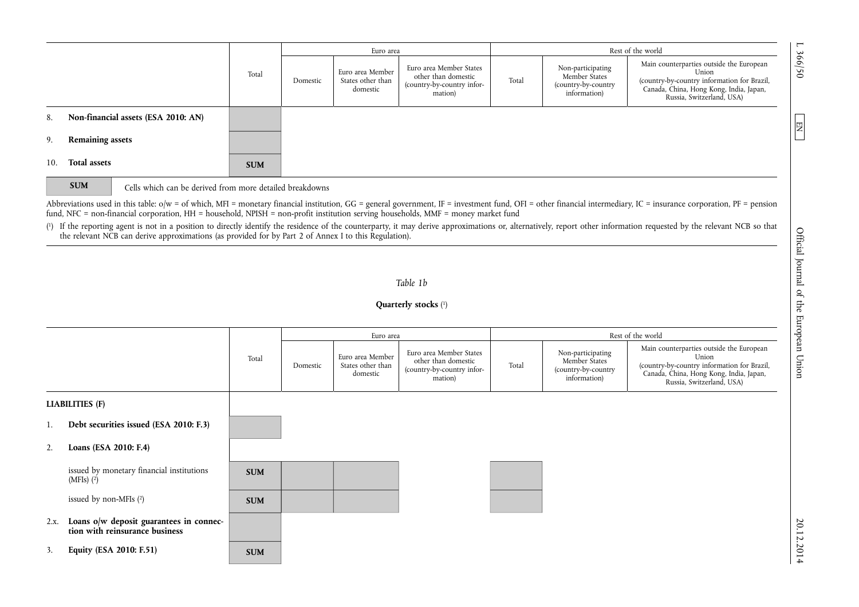|     |                                     |            | Euro area |                                                   |                                                                                         |       | Rest of the world                                                         |                                                                                                                                                                          |  |
|-----|-------------------------------------|------------|-----------|---------------------------------------------------|-----------------------------------------------------------------------------------------|-------|---------------------------------------------------------------------------|--------------------------------------------------------------------------------------------------------------------------------------------------------------------------|--|
|     |                                     | Total      | Domestic  | Euro area Member<br>States other than<br>domestic | Euro area Member States<br>other than domestic<br>(country-by-country infor-<br>mation) | Total | Non-participating<br>Member States<br>(country-by-country<br>information) | Main counterparties outside the European<br>Union<br>(country-by-country information for Brazil,<br>Canada, China, Hong Kong, India, Japan,<br>Russia, Switzerland, USA) |  |
| 8.  | Non-financial assets (ESA 2010: AN) |            |           |                                                   |                                                                                         |       |                                                                           |                                                                                                                                                                          |  |
| 9.  | <b>Remaining assets</b>             |            |           |                                                   |                                                                                         |       |                                                                           |                                                                                                                                                                          |  |
| 10. | <b>Total assets</b>                 | <b>SUM</b> |           |                                                   |                                                                                         |       |                                                                           |                                                                                                                                                                          |  |

**SUM Cells** which can be derived from more detailed breakdowns

Abbreviations used in this table: o/w = of which, MFI = monetary financial institution, GG = general government, IF = investment fund, OFI = other financial intermediary, IC = insurance corporation, PF = pension fund, NFC = non-financial corporation, HH = household, NPISH = non-profit institution serving households, MMF = money market fund

( 1) If the reporting agent is not in a position to directly identify the residence of the counterparty, it may derive approximations or, alternatively, report other information requested by the relevant NCB so that the relevant NCB can derive approximations (as provided for by Part 2 of Annex I to this Regulation).

# *Table 1b*

## **Quarterly stocks** ( 1)

|      |                                                                           |            |          | Euro area                                         |                                                                                         | Rest of the world |                                                                           |                                                                                                                                                                          |  |
|------|---------------------------------------------------------------------------|------------|----------|---------------------------------------------------|-----------------------------------------------------------------------------------------|-------------------|---------------------------------------------------------------------------|--------------------------------------------------------------------------------------------------------------------------------------------------------------------------|--|
|      |                                                                           | Total      | Domestic | Euro area Member<br>States other than<br>domestic | Euro area Member States<br>other than domestic<br>(country-by-country infor-<br>mation) | Total             | Non-participating<br>Member States<br>(country-by-country<br>information) | Main counterparties outside the European<br>Union<br>(country-by-country information for Brazil,<br>Canada, China, Hong Kong, India, Japan,<br>Russia, Switzerland, USA) |  |
|      | <b>LIABILITIES (F)</b>                                                    |            |          |                                                   |                                                                                         |                   |                                                                           |                                                                                                                                                                          |  |
| 1.   | Debt securities issued (ESA 2010: F.3)                                    |            |          |                                                   |                                                                                         |                   |                                                                           |                                                                                                                                                                          |  |
| 2.   | Loans (ESA 2010: F.4)                                                     |            |          |                                                   |                                                                                         |                   |                                                                           |                                                                                                                                                                          |  |
|      | issued by monetary financial institutions<br>(MFIs) $(2)$                 | <b>SUM</b> |          |                                                   |                                                                                         |                   |                                                                           |                                                                                                                                                                          |  |
|      | issued by non-MFIs $(2)$                                                  | <b>SUM</b> |          |                                                   |                                                                                         |                   |                                                                           |                                                                                                                                                                          |  |
| 2.x. | Loans o/w deposit guarantees in connec-<br>tion with reinsurance business |            |          |                                                   |                                                                                         |                   |                                                                           |                                                                                                                                                                          |  |
| 3.   | Equity (ESA 2010: F.51)                                                   | <b>SUM</b> |          |                                                   |                                                                                         |                   |                                                                           |                                                                                                                                                                          |  |

 $20.20121$  L  $\text{N}$  D  $\text{N}$  D  $\text{N}$  D  $\text{N}$  D  $\text{N}$  D  $\text{N}$  D  $\text{N}$  D  $\text{N}$  D  $\text{N}$  D  $\text{N}$  D  $\text{N}$  D  $\text{N}$  D  $\text{N}$  D  $\text{N}$  D  $\text{N}$  D  $\text{N}$  D  $\text{N}$  D  $\text{N}$  D  $\text{N}$  D  $\text{N}$  D  $\text{N}$ Official Journal of the European Union

L 366/50

 $\boxed{\phantom{1}}$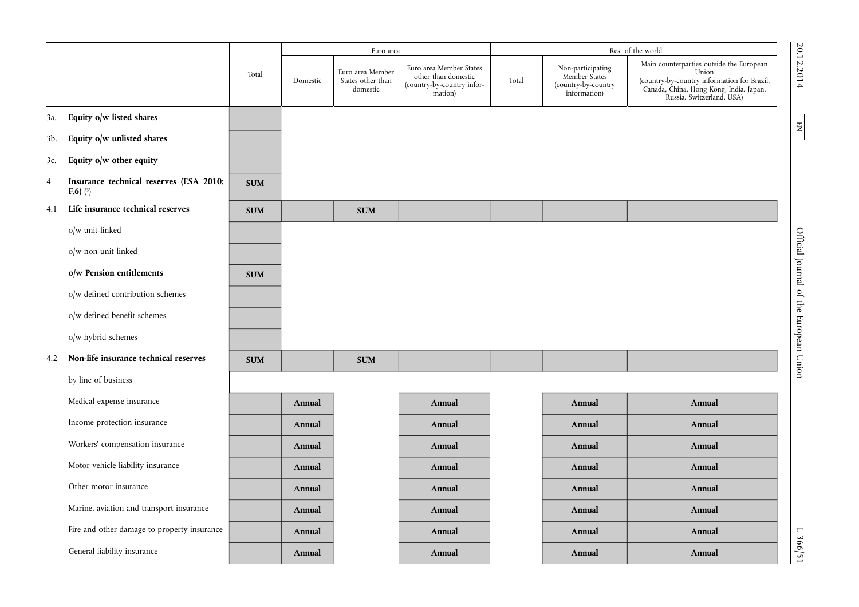|                |                                                               |            |          | Euro area                                         |                                                                                         | Rest of the world |                                                                           |                                                                                                                                                                          |                                        |
|----------------|---------------------------------------------------------------|------------|----------|---------------------------------------------------|-----------------------------------------------------------------------------------------|-------------------|---------------------------------------------------------------------------|--------------------------------------------------------------------------------------------------------------------------------------------------------------------------|----------------------------------------|
|                |                                                               | Total      | Domestic | Euro area Member<br>States other than<br>domestic | Euro area Member States<br>other than domestic<br>(country-by-country infor-<br>mation) | Total             | Non-participating<br>Member States<br>(country-by-country<br>information) | Main counterparties outside the European<br>Union<br>(country-by-country information for Brazil,<br>Canada, China, Hong Kong, India, Japan,<br>Russia, Switzerland, USA) | 20.12.2014                             |
| 3a.            | Equity o/w listed shares                                      |            |          |                                                   |                                                                                         |                   |                                                                           |                                                                                                                                                                          |                                        |
| 3b.            | Equity o/w unlisted shares                                    |            |          |                                                   |                                                                                         |                   |                                                                           |                                                                                                                                                                          | 团                                      |
| 3c.            | Equity o/w other equity                                       |            |          |                                                   |                                                                                         |                   |                                                                           |                                                                                                                                                                          |                                        |
| $\overline{4}$ | Insurance technical reserves (ESA 2010:<br><b>F.6</b> ) $(3)$ | <b>SUM</b> |          |                                                   |                                                                                         |                   |                                                                           |                                                                                                                                                                          |                                        |
| 4.1            | Life insurance technical reserves                             | <b>SUM</b> |          | <b>SUM</b>                                        |                                                                                         |                   |                                                                           |                                                                                                                                                                          |                                        |
|                | o/w unit-linked                                               |            |          |                                                   |                                                                                         |                   |                                                                           |                                                                                                                                                                          |                                        |
|                | o/w non-unit linked                                           |            |          |                                                   |                                                                                         |                   |                                                                           |                                                                                                                                                                          |                                        |
|                | o/w Pension entitlements                                      | <b>SUM</b> |          |                                                   |                                                                                         |                   |                                                                           |                                                                                                                                                                          |                                        |
|                | o/w defined contribution schemes                              |            |          |                                                   |                                                                                         |                   |                                                                           |                                                                                                                                                                          |                                        |
|                | o/w defined benefit schemes                                   |            |          |                                                   |                                                                                         |                   |                                                                           |                                                                                                                                                                          |                                        |
|                | o/w hybrid schemes                                            |            |          |                                                   |                                                                                         |                   |                                                                           |                                                                                                                                                                          |                                        |
| 4.2            | Non-life insurance technical reserves                         | <b>SUM</b> |          | <b>SUM</b>                                        |                                                                                         |                   |                                                                           |                                                                                                                                                                          | Official Journal of the European Union |
|                | by line of business                                           |            |          |                                                   |                                                                                         |                   |                                                                           |                                                                                                                                                                          |                                        |
|                | Medical expense insurance                                     |            | Annual   |                                                   | Annual                                                                                  |                   | Annual                                                                    | Annual                                                                                                                                                                   |                                        |
|                | Income protection insurance                                   |            | Annual   |                                                   | Annual                                                                                  |                   | Annual                                                                    | Annual                                                                                                                                                                   |                                        |
|                | Workers' compensation insurance                               |            | Annual   |                                                   | Annual                                                                                  |                   | Annual                                                                    | Annual                                                                                                                                                                   |                                        |
|                | Motor vehicle liability insurance                             |            | Annual   |                                                   | Annual                                                                                  |                   | Annual                                                                    | Annual                                                                                                                                                                   |                                        |
|                | Other motor insurance                                         |            | Annual   |                                                   | Annual                                                                                  |                   | Annual                                                                    | Annual                                                                                                                                                                   |                                        |
|                | Marine, aviation and transport insurance                      |            | Annual   |                                                   | Annual                                                                                  |                   | Annual                                                                    | Annual                                                                                                                                                                   |                                        |
|                | Fire and other damage to property insurance                   |            | Annual   |                                                   | Annual                                                                                  |                   | Annual                                                                    | Annual                                                                                                                                                                   |                                        |
|                | General liability insurance                                   |            | Annual   |                                                   | Annual                                                                                  |                   | Annual                                                                    | Annual                                                                                                                                                                   | L 366/51                               |

L 366/51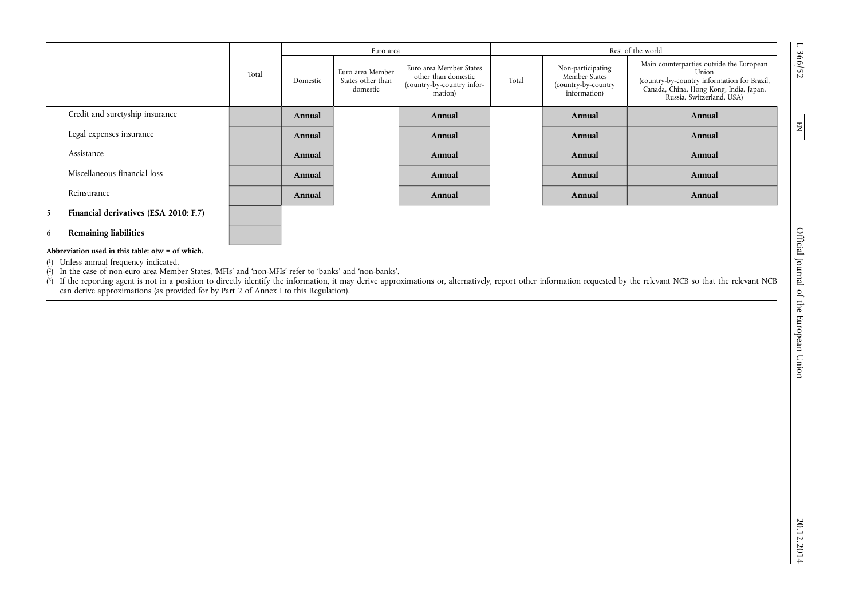|   |                                       |       | Euro area |                                                   |                                                                                         |       | Rest of the world                                                         |                                                                                                                                                                          |  |
|---|---------------------------------------|-------|-----------|---------------------------------------------------|-----------------------------------------------------------------------------------------|-------|---------------------------------------------------------------------------|--------------------------------------------------------------------------------------------------------------------------------------------------------------------------|--|
|   |                                       | Total | Domestic  | Euro area Member<br>States other than<br>domestic | Euro area Member States<br>other than domestic<br>(country-by-country infor-<br>mation) | Total | Non-participating<br>Member States<br>(country-by-country<br>information) | Main counterparties outside the European<br>Union<br>(country-by-country information for Brazil,<br>Canada, China, Hong Kong, India, Japan,<br>Russia, Switzerland, USA) |  |
|   | Credit and suretyship insurance       |       | Annual    |                                                   | Annual                                                                                  |       | Annual                                                                    | Annual                                                                                                                                                                   |  |
|   | Legal expenses insurance              |       | Annual    |                                                   | Annual                                                                                  |       | Annual                                                                    | Annual                                                                                                                                                                   |  |
|   | Assistance                            |       | Annual    |                                                   | Annual                                                                                  |       | Annual                                                                    | Annual                                                                                                                                                                   |  |
|   | Miscellaneous financial loss          |       | Annual    |                                                   | Annual                                                                                  |       | Annual                                                                    | Annual                                                                                                                                                                   |  |
|   | Reinsurance                           |       | Annual    |                                                   | Annual                                                                                  |       | Annual                                                                    | Annual                                                                                                                                                                   |  |
| 5 | Financial derivatives (ESA 2010: F.7) |       |           |                                                   |                                                                                         |       |                                                                           |                                                                                                                                                                          |  |
| 6 | <b>Remaining liabilities</b>          |       |           |                                                   |                                                                                         |       |                                                                           |                                                                                                                                                                          |  |

**Abbreviation used in this table: o/w = of which.** 

( 1) Unless annual frequency indicated.

( 2) In the case of non-euro area Member States, 'MFIs' and 'non-MFIs' refer to 'banks' and 'non-banks'.

( 3) If the reporting agent is not in a position to directly identify the information, it may derive approximations or, alternatively, report other information requested by the relevant NCB so that the relevant NCB can derive approximations (as provided for by Part 2 of Annex I to this Regulation).

L 366/52

 $\boxed{\phantom{1}}$ 

20.12.2014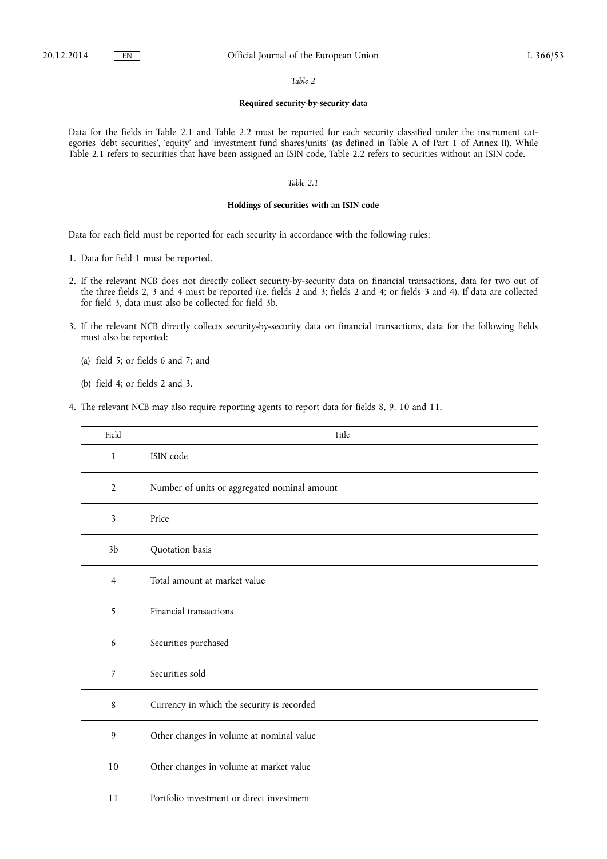#### *Table 2*

## **Required security-by-security data**

Data for the fields in Table 2.1 and Table 2.2 must be reported for each security classified under the instrument categories 'debt securities', 'equity' and 'investment fund shares/units' (as defined in Table A of Part 1 of Annex II). While Table 2.1 refers to securities that have been assigned an ISIN code, Table 2.2 refers to securities without an ISIN code.

## *Table 2.1*

## **Holdings of securities with an ISIN code**

Data for each field must be reported for each security in accordance with the following rules:

- 1. Data for field 1 must be reported.
- 2. If the relevant NCB does not directly collect security-by-security data on financial transactions, data for two out of the three fields 2, 3 and 4 must be reported (i.e. fields 2 and 3; fields 2 and 4; or fields 3 and 4). If data are collected for field 3, data must also be collected for field 3b.
- 3. If the relevant NCB directly collects security-by-security data on financial transactions, data for the following fields must also be reported:
	- (a) field 5; or fields 6 and 7; and
	- (b) field 4; or fields 2 and 3.
- 4. The relevant NCB may also require reporting agents to report data for fields 8, 9, 10 and 11.

| Field          | Title                                        |
|----------------|----------------------------------------------|
| $\mathbf{1}$   | ISIN code                                    |
| $\overline{2}$ | Number of units or aggregated nominal amount |
| 3              | Price                                        |
| 3 <sub>b</sub> | Quotation basis                              |
| $\overline{4}$ | Total amount at market value                 |
| 5              | Financial transactions                       |
| 6              | Securities purchased                         |
| 7              | Securities sold                              |
| 8              | Currency in which the security is recorded   |
| 9              | Other changes in volume at nominal value     |
| 10             | Other changes in volume at market value      |
| 11             | Portfolio investment or direct investment    |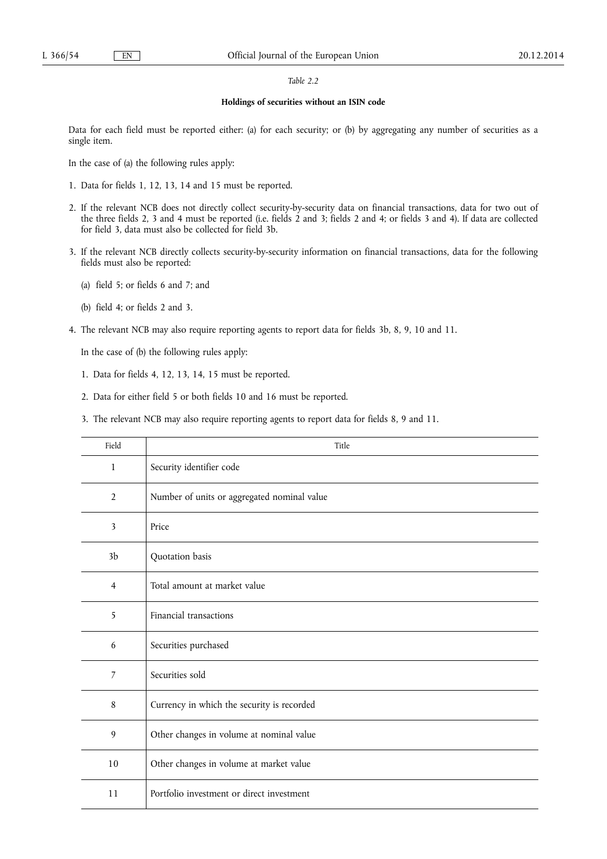## *Table 2.2*

#### **Holdings of securities without an ISIN code**

Data for each field must be reported either: (a) for each security; or (b) by aggregating any number of securities as a single item.

In the case of (a) the following rules apply:

- 1. Data for fields 1, 12, 13, 14 and 15 must be reported.
- 2. If the relevant NCB does not directly collect security-by-security data on financial transactions, data for two out of the three fields 2, 3 and 4 must be reported (i.e. fields 2 and 3; fields 2 and 4; or fields 3 and 4). If data are collected for field 3, data must also be collected for field 3b.
- 3. If the relevant NCB directly collects security-by-security information on financial transactions, data for the following fields must also be reported:
	- (a) field 5; or fields 6 and 7; and
	- (b) field 4; or fields 2 and 3.
- 4. The relevant NCB may also require reporting agents to report data for fields 3b, 8, 9, 10 and 11.

In the case of (b) the following rules apply:

- 1. Data for fields 4, 12, 13, 14, 15 must be reported.
- 2. Data for either field 5 or both fields 10 and 16 must be reported.
- 3. The relevant NCB may also require reporting agents to report data for fields 8, 9 and 11.

| Field          | Title                                       |
|----------------|---------------------------------------------|
| $\mathbf{1}$   | Security identifier code                    |
| 2              | Number of units or aggregated nominal value |
| 3              | Price                                       |
| 3 <sub>b</sub> | Quotation basis                             |
| $\overline{4}$ | Total amount at market value                |
| 5              | Financial transactions                      |
| 6              | Securities purchased                        |
| 7              | Securities sold                             |
| 8              | Currency in which the security is recorded  |
| 9              | Other changes in volume at nominal value    |
| $10\,$         | Other changes in volume at market value     |
| 11             | Portfolio investment or direct investment   |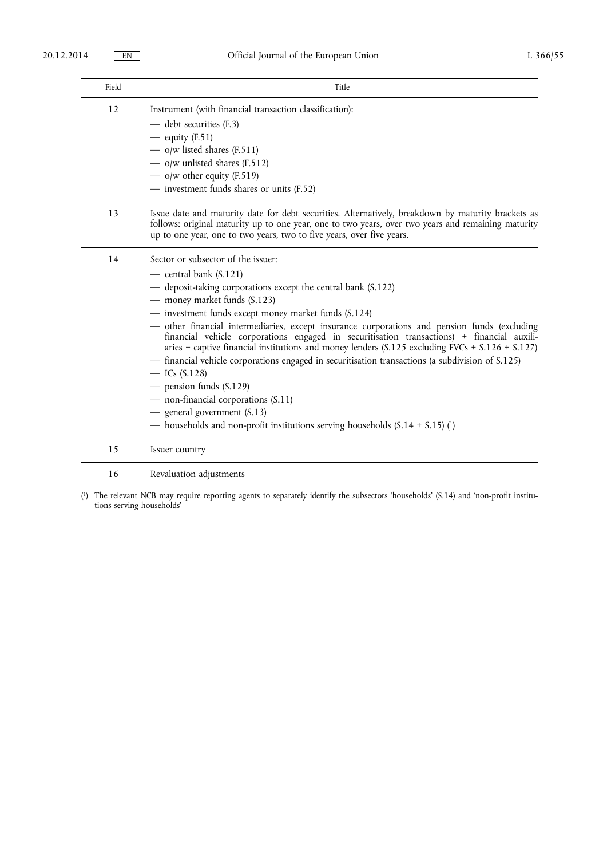| Field | Title                                                                                                                                                                                                                                                                                                                                                                                                                                                                                                                                                                                                                                                                                                                                                                                                                                 |
|-------|---------------------------------------------------------------------------------------------------------------------------------------------------------------------------------------------------------------------------------------------------------------------------------------------------------------------------------------------------------------------------------------------------------------------------------------------------------------------------------------------------------------------------------------------------------------------------------------------------------------------------------------------------------------------------------------------------------------------------------------------------------------------------------------------------------------------------------------|
| 12    | Instrument (with financial transaction classification):<br>- debt securities (F.3)<br>$-$ equity (F.51)<br>$-$ o/w listed shares (F.511)<br>$-$ o/w unlisted shares (F.512)<br>— o/w other equity (F.519)<br>- investment funds shares or units (F.52)                                                                                                                                                                                                                                                                                                                                                                                                                                                                                                                                                                                |
| 13    | Issue date and maturity date for debt securities. Alternatively, breakdown by maturity brackets as<br>follows: original maturity up to one year, one to two years, over two years and remaining maturity<br>up to one year, one to two years, two to five years, over five years.                                                                                                                                                                                                                                                                                                                                                                                                                                                                                                                                                     |
| 14    | Sector or subsector of the issuer:<br>$-$ central bank (S.121)<br>— deposit-taking corporations except the central bank (S.122)<br>- money market funds (S.123)<br>- investment funds except money market funds (S.124)<br>- other financial intermediaries, except insurance corporations and pension funds (excluding<br>financial vehicle corporations engaged in securitisation transactions) + financial auxili-<br>aries + captive financial institutions and money lenders (S.125 excluding FVCs + S.126 + S.127)<br>- financial vehicle corporations engaged in securitisation transactions (a subdivision of S.125)<br>$-$ ICs (S.128)<br>$-$ pension funds (S.129)<br>- non-financial corporations (S.11)<br>- general government (S.13)<br>— households and non-profit institutions serving households $(S.14 + S.15)$ (1) |
| 15    | Issuer country                                                                                                                                                                                                                                                                                                                                                                                                                                                                                                                                                                                                                                                                                                                                                                                                                        |
| 16    | Revaluation adjustments                                                                                                                                                                                                                                                                                                                                                                                                                                                                                                                                                                                                                                                                                                                                                                                                               |

( 1) The relevant NCB may require reporting agents to separately identify the subsectors 'households' (S.14) and 'non-profit institutions serving households'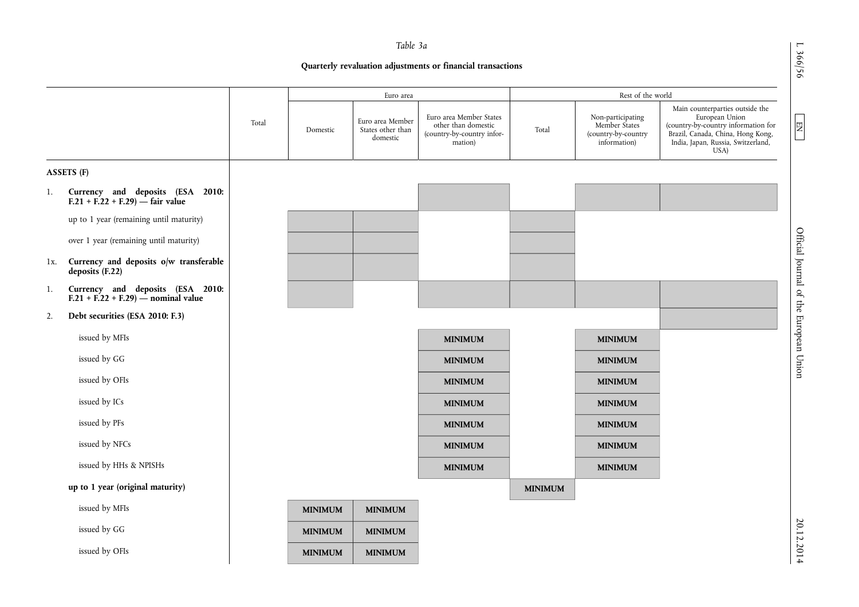L 366/56

 $EM$ 

20.12.2014

# *Table 3a*

**Quarterly revaluation adjustments or financial transactions** 

|     |                                                                          |       |                | Euro area                                         |                                                                                         |                | Rest of the world                                                         |                                                                                                                                                                             |
|-----|--------------------------------------------------------------------------|-------|----------------|---------------------------------------------------|-----------------------------------------------------------------------------------------|----------------|---------------------------------------------------------------------------|-----------------------------------------------------------------------------------------------------------------------------------------------------------------------------|
|     |                                                                          | Total | Domestic       | Euro area Member<br>States other than<br>domestic | Euro area Member States<br>other than domestic<br>(country-by-country infor-<br>mation) | Total          | Non-participating<br>Member States<br>(country-by-country<br>information) | Main counterparties outside the<br>European Union<br>(country-by-country information for<br>Brazil, Canada, China, Hong Kong,<br>India, Japan, Russia, Switzerland,<br>USA) |
|     | ASSETS (F)                                                               |       |                |                                                   |                                                                                         |                |                                                                           |                                                                                                                                                                             |
| 1.  | Currency and deposits (ESA 2010:<br>F.21 + F.22 + F.29) $-$ fair value   |       |                |                                                   |                                                                                         |                |                                                                           |                                                                                                                                                                             |
|     | up to 1 year (remaining until maturity)                                  |       |                |                                                   |                                                                                         |                |                                                                           |                                                                                                                                                                             |
|     | over 1 year (remaining until maturity)                                   |       |                |                                                   |                                                                                         |                |                                                                           |                                                                                                                                                                             |
| 1x. | Currency and deposits o/w transferable<br>deposits (F.22)                |       |                |                                                   |                                                                                         |                |                                                                           |                                                                                                                                                                             |
| 1.  | Currency and deposits (ESA 2010:<br>$F.21 + F.22 + F.29$ – nominal value |       |                |                                                   |                                                                                         |                |                                                                           |                                                                                                                                                                             |
| 2.  | Debt securities (ESA 2010: F.3)                                          |       |                |                                                   |                                                                                         |                |                                                                           |                                                                                                                                                                             |
|     | issued by MFIs                                                           |       |                |                                                   | <b>MINIMUM</b>                                                                          |                | <b>MINIMUM</b>                                                            |                                                                                                                                                                             |
|     | issued by GG                                                             |       |                |                                                   | <b>MINIMUM</b>                                                                          |                | <b>MINIMUM</b>                                                            |                                                                                                                                                                             |
|     | issued by OFIs                                                           |       |                |                                                   | <b>MINIMUM</b>                                                                          |                | <b>MINIMUM</b>                                                            |                                                                                                                                                                             |
|     | issued by ICs                                                            |       |                |                                                   | <b>MINIMUM</b>                                                                          |                | <b>MINIMUM</b>                                                            |                                                                                                                                                                             |
|     | issued by PFs                                                            |       |                |                                                   | <b>MINIMUM</b>                                                                          |                | <b>MINIMUM</b>                                                            |                                                                                                                                                                             |
|     | issued by NFCs                                                           |       |                |                                                   | <b>MINIMUM</b>                                                                          |                | <b>MINIMUM</b>                                                            |                                                                                                                                                                             |
|     | issued by HHs & NPISHs                                                   |       |                |                                                   | <b>MINIMUM</b>                                                                          |                | <b>MINIMUM</b>                                                            |                                                                                                                                                                             |
|     | up to 1 year (original maturity)                                         |       |                |                                                   |                                                                                         | <b>MINIMUM</b> |                                                                           |                                                                                                                                                                             |
|     | issued by MFIs                                                           |       | <b>MINIMUM</b> | <b>MINIMUM</b>                                    |                                                                                         |                |                                                                           |                                                                                                                                                                             |
|     | issued by GG                                                             |       | <b>MINIMUM</b> | <b>MINIMUM</b>                                    |                                                                                         |                |                                                                           |                                                                                                                                                                             |
|     | issued by OFIs                                                           |       | <b>MINIMUM</b> | <b>MINIMUM</b>                                    |                                                                                         |                |                                                                           |                                                                                                                                                                             |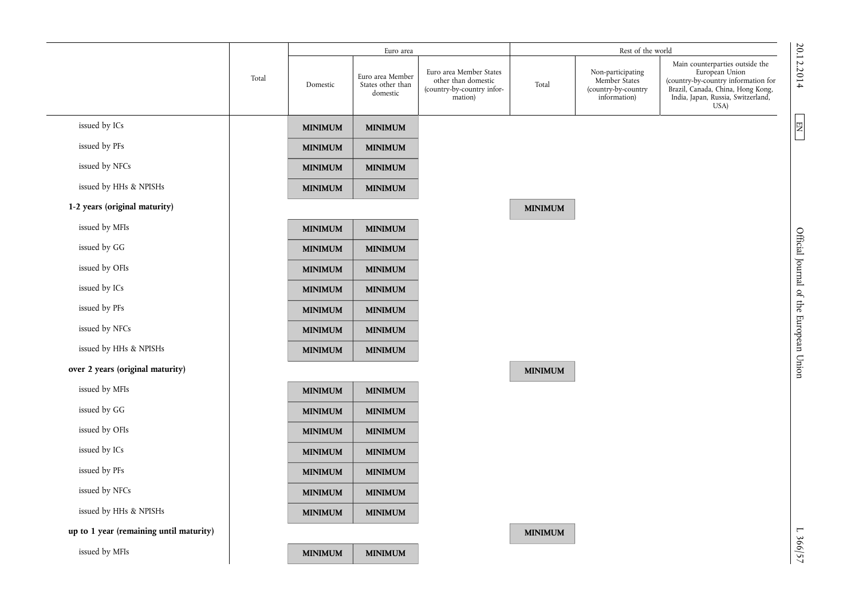|                                         |       |                | Euro area                                         |                                                                                         |                | Rest of the world                                                         |                                                                                                                                                                             |                                          |
|-----------------------------------------|-------|----------------|---------------------------------------------------|-----------------------------------------------------------------------------------------|----------------|---------------------------------------------------------------------------|-----------------------------------------------------------------------------------------------------------------------------------------------------------------------------|------------------------------------------|
|                                         | Total | Domestic       | Euro area Member<br>States other than<br>domestic | Euro area Member States<br>other than domestic<br>(country-by-country infor-<br>mation) | Total          | Non-participating<br>Member States<br>(country-by-country<br>information) | Main counterparties outside the<br>European Union<br>(country-by-country information for<br>Brazil, Canada, China, Hong Kong,<br>India, Japan, Russia, Switzerland,<br>USA) | 20.12.2014                               |
| issued by ICs                           |       | <b>MINIMUM</b> | <b>MINIMUM</b>                                    |                                                                                         |                |                                                                           |                                                                                                                                                                             | $\begin{array}{c} \n\hline\n\end{array}$ |
| issued by PFs                           |       | <b>MINIMUM</b> | <b>MINIMUM</b>                                    |                                                                                         |                |                                                                           |                                                                                                                                                                             |                                          |
| issued by NFCs                          |       | <b>MINIMUM</b> | <b>MINIMUM</b>                                    |                                                                                         |                |                                                                           |                                                                                                                                                                             |                                          |
| issued by HHs & NPISHs                  |       | <b>MINIMUM</b> | <b>MINIMUM</b>                                    |                                                                                         |                |                                                                           |                                                                                                                                                                             |                                          |
| 1-2 years (original maturity)           |       |                |                                                   |                                                                                         | <b>MINIMUM</b> |                                                                           |                                                                                                                                                                             |                                          |
| issued by MFIs                          |       | <b>MINIMUM</b> | <b>MINIMUM</b>                                    |                                                                                         |                |                                                                           |                                                                                                                                                                             |                                          |
| issued by GG                            |       | <b>MINIMUM</b> | <b>MINIMUM</b>                                    |                                                                                         |                |                                                                           |                                                                                                                                                                             |                                          |
| issued by OFIs                          |       | <b>MINIMUM</b> | <b>MINIMUM</b>                                    |                                                                                         |                |                                                                           |                                                                                                                                                                             |                                          |
| issued by ICs                           |       | <b>MINIMUM</b> | <b>MINIMUM</b>                                    |                                                                                         |                |                                                                           |                                                                                                                                                                             |                                          |
| issued by PFs                           |       | <b>MINIMUM</b> | <b>MINIMUM</b>                                    |                                                                                         |                |                                                                           |                                                                                                                                                                             |                                          |
| issued by NFCs                          |       | <b>MINIMUM</b> | <b>MINIMUM</b>                                    |                                                                                         |                |                                                                           |                                                                                                                                                                             |                                          |
| issued by HHs & NPISHs                  |       | <b>MINIMUM</b> | <b>MINIMUM</b>                                    |                                                                                         |                |                                                                           |                                                                                                                                                                             | Official Journal of the European Union   |
| over 2 years (original maturity)        |       |                |                                                   |                                                                                         | <b>MINIMUM</b> |                                                                           |                                                                                                                                                                             |                                          |
| issued by MFIs                          |       | <b>MINIMUM</b> | <b>MINIMUM</b>                                    |                                                                                         |                |                                                                           |                                                                                                                                                                             |                                          |
| issued by GG                            |       | <b>MINIMUM</b> | <b>MINIMUM</b>                                    |                                                                                         |                |                                                                           |                                                                                                                                                                             |                                          |
| issued by OFIs                          |       | <b>MINIMUM</b> | <b>MINIMUM</b>                                    |                                                                                         |                |                                                                           |                                                                                                                                                                             |                                          |
| issued by ICs                           |       | <b>MINIMUM</b> | <b>MINIMUM</b>                                    |                                                                                         |                |                                                                           |                                                                                                                                                                             |                                          |
| issued by PFs                           |       | <b>MINIMUM</b> | <b>MINIMUM</b>                                    |                                                                                         |                |                                                                           |                                                                                                                                                                             |                                          |
| issued by NFCs                          |       | <b>MINIMUM</b> | <b>MINIMUM</b>                                    |                                                                                         |                |                                                                           |                                                                                                                                                                             |                                          |
| issued by HHs & NPISHs                  |       | <b>MINIMUM</b> | <b>MINIMUM</b>                                    |                                                                                         |                |                                                                           |                                                                                                                                                                             |                                          |
| up to 1 year (remaining until maturity) |       |                |                                                   |                                                                                         | <b>MINIMUM</b> |                                                                           |                                                                                                                                                                             |                                          |
| issued by MFIs                          |       | <b>MINIMUM</b> | <b>MINIMUM</b>                                    |                                                                                         |                |                                                                           |                                                                                                                                                                             | L 366/57                                 |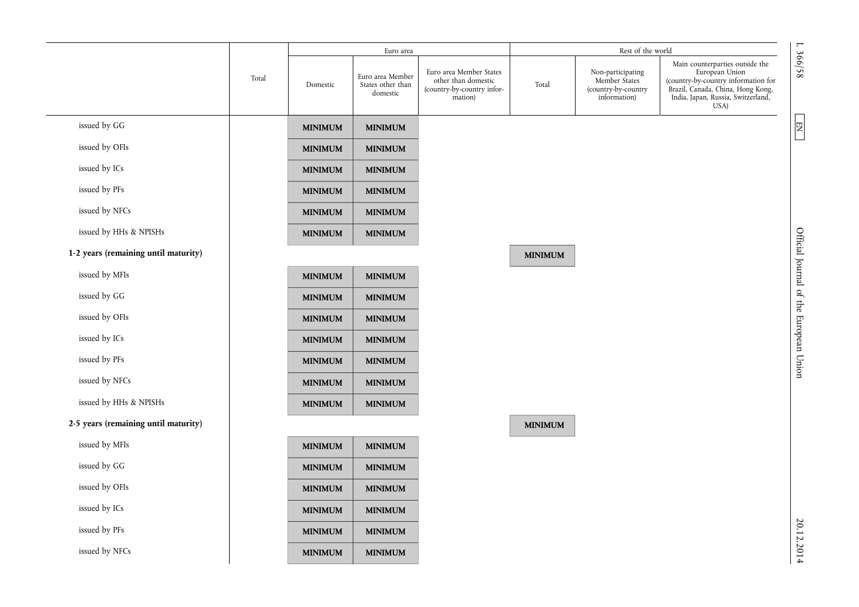|                                      |       |                | Euro area                                         |                                                                                         |                | Rest of the world                                                         |                                                                                                                                                                             |
|--------------------------------------|-------|----------------|---------------------------------------------------|-----------------------------------------------------------------------------------------|----------------|---------------------------------------------------------------------------|-----------------------------------------------------------------------------------------------------------------------------------------------------------------------------|
|                                      | Total | Domestic       | Euro area Member<br>States other than<br>domestic | Euro area Member States<br>other than domestic<br>(country-by-country infor-<br>mation) | Total          | Non-participating<br>Member States<br>(country-by-country<br>information) | Main counterparties outside the<br>European Union<br>(country-by-country information for<br>Brazil, Canada, China, Hong Kong,<br>India, Japan, Russia, Switzerland,<br>USA) |
| issued by GG                         |       | <b>MINIMUM</b> | <b>MINIMUM</b>                                    |                                                                                         |                |                                                                           |                                                                                                                                                                             |
| issued by OFIs                       |       | <b>MINIMUM</b> | <b>MINIMUM</b>                                    |                                                                                         |                |                                                                           |                                                                                                                                                                             |
| issued by ICs                        |       | <b>MINIMUM</b> | <b>MINIMUM</b>                                    |                                                                                         |                |                                                                           |                                                                                                                                                                             |
| issued by PFs                        |       | <b>MINIMUM</b> | <b>MINIMUM</b>                                    |                                                                                         |                |                                                                           |                                                                                                                                                                             |
| issued by NFCs                       |       | <b>MINIMUM</b> | <b>MINIMUM</b>                                    |                                                                                         |                |                                                                           |                                                                                                                                                                             |
| issued by HHs & NPISHs               |       | <b>MINIMUM</b> | <b>MINIMUM</b>                                    |                                                                                         |                |                                                                           |                                                                                                                                                                             |
| 1-2 years (remaining until maturity) |       |                |                                                   |                                                                                         | <b>MINIMUM</b> |                                                                           |                                                                                                                                                                             |
| issued by MFIs                       |       | <b>MINIMUM</b> | <b>MINIMUM</b>                                    |                                                                                         |                |                                                                           |                                                                                                                                                                             |
| issued by GG                         |       | <b>MINIMUM</b> | <b>MINIMUM</b>                                    |                                                                                         |                |                                                                           |                                                                                                                                                                             |
| issued by OFIs                       |       | <b>MINIMUM</b> | <b>MINIMUM</b>                                    |                                                                                         |                |                                                                           |                                                                                                                                                                             |
| issued by ICs                        |       | <b>MINIMUM</b> | <b>MINIMUM</b>                                    |                                                                                         |                |                                                                           |                                                                                                                                                                             |
| issued by PFs                        |       | <b>MINIMUM</b> | <b>MINIMUM</b>                                    |                                                                                         |                |                                                                           |                                                                                                                                                                             |
| issued by NFCs                       |       | <b>MINIMUM</b> | <b>MINIMUM</b>                                    |                                                                                         |                |                                                                           |                                                                                                                                                                             |
| issued by HHs & NPISHs               |       | <b>MINIMUM</b> | <b>MINIMUM</b>                                    |                                                                                         |                |                                                                           |                                                                                                                                                                             |
| 2-5 years (remaining until maturity) |       |                |                                                   |                                                                                         | <b>MINIMUM</b> |                                                                           |                                                                                                                                                                             |
| issued by MFIs                       |       | <b>MINIMUM</b> | <b>MINIMUM</b>                                    |                                                                                         |                |                                                                           |                                                                                                                                                                             |
| issued by GG                         |       | <b>MINIMUM</b> | <b>MINIMUM</b>                                    |                                                                                         |                |                                                                           |                                                                                                                                                                             |
| issued by OFIs                       |       | <b>MINIMUM</b> | <b>MINIMUM</b>                                    |                                                                                         |                |                                                                           |                                                                                                                                                                             |
| issued by ICs                        |       | <b>MINIMUM</b> | <b>MINIMUM</b>                                    |                                                                                         |                |                                                                           |                                                                                                                                                                             |
| issued by PFs                        |       | <b>MINIMUM</b> | <b>MINIMUM</b>                                    |                                                                                         |                |                                                                           |                                                                                                                                                                             |
| issued by NFCs                       |       | <b>MINIMUM</b> | <b>MINIMUM</b>                                    |                                                                                         |                |                                                                           |                                                                                                                                                                             |
|                                      |       |                |                                                   |                                                                                         |                |                                                                           |                                                                                                                                                                             |

20.12.2014 L 366/58 Official Journal of the European Union EN Official Journal of the European Union

L 366/58

 $\boxed{\text{EN}}$ 

20.12.2014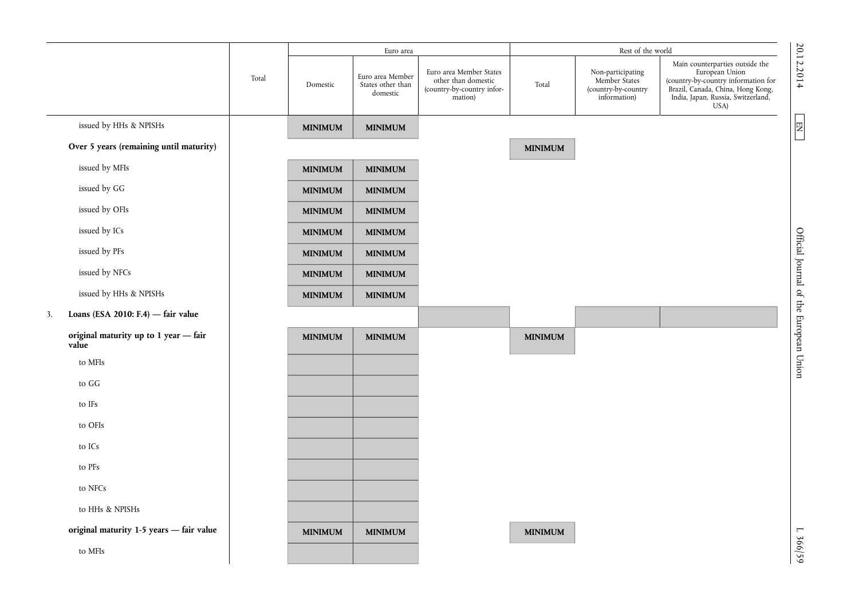|                                                |       |                | Euro area                                         |                                                                                         |                | Rest of the world                                                         |                                                                                                                                                                             |                                                    |
|------------------------------------------------|-------|----------------|---------------------------------------------------|-----------------------------------------------------------------------------------------|----------------|---------------------------------------------------------------------------|-----------------------------------------------------------------------------------------------------------------------------------------------------------------------------|----------------------------------------------------|
|                                                | Total | Domestic       | Euro area Member<br>States other than<br>domestic | Euro area Member States<br>other than domestic<br>(country-by-country infor-<br>mation) | Total          | Non-participating<br>Member States<br>(country-by-country<br>information) | Main counterparties outside the<br>European Union<br>(country-by-country information for<br>Brazil, Canada, China, Hong Kong,<br>India, Japan, Russia, Switzerland,<br>USA) | 20.12.2014                                         |
| issued by HHs & NPISHs                         |       | <b>MINIMUM</b> | <b>MINIMUM</b>                                    |                                                                                         |                |                                                                           |                                                                                                                                                                             | $\begin{array}{c} \hline \text{EM} \\ \end{array}$ |
| Over 5 years (remaining until maturity)        |       |                |                                                   |                                                                                         | <b>MINIMUM</b> |                                                                           |                                                                                                                                                                             |                                                    |
| issued by MFIs                                 |       | <b>MINIMUM</b> | <b>MINIMUM</b>                                    |                                                                                         |                |                                                                           |                                                                                                                                                                             |                                                    |
| issued by GG                                   |       | <b>MINIMUM</b> | <b>MINIMUM</b>                                    |                                                                                         |                |                                                                           |                                                                                                                                                                             |                                                    |
| issued by OFIs                                 |       | <b>MINIMUM</b> | <b>MINIMUM</b>                                    |                                                                                         |                |                                                                           |                                                                                                                                                                             |                                                    |
| issued by ICs                                  |       | <b>MINIMUM</b> | <b>MINIMUM</b>                                    |                                                                                         |                |                                                                           |                                                                                                                                                                             |                                                    |
| issued by PFs                                  |       | <b>MINIMUM</b> | <b>MINIMUM</b>                                    |                                                                                         |                |                                                                           |                                                                                                                                                                             |                                                    |
| issued by NFCs                                 |       | <b>MINIMUM</b> | <b>MINIMUM</b>                                    |                                                                                         |                |                                                                           |                                                                                                                                                                             |                                                    |
| issued by HHs & NPISHs                         |       | <b>MINIMUM</b> | <b>MINIMUM</b>                                    |                                                                                         |                |                                                                           |                                                                                                                                                                             |                                                    |
| Loans (ESA 2010: F.4) $-$ fair value<br>3.     |       |                |                                                   |                                                                                         |                |                                                                           |                                                                                                                                                                             |                                                    |
| original maturity up to 1 year - fair<br>value |       | <b>MINIMUM</b> | <b>MINIMUM</b>                                    |                                                                                         | <b>MINIMUM</b> |                                                                           |                                                                                                                                                                             | Official Journal of the European Union             |
| to MFIs                                        |       |                |                                                   |                                                                                         |                |                                                                           |                                                                                                                                                                             |                                                    |
| to GG                                          |       |                |                                                   |                                                                                         |                |                                                                           |                                                                                                                                                                             |                                                    |
| to IFs                                         |       |                |                                                   |                                                                                         |                |                                                                           |                                                                                                                                                                             |                                                    |
| to OFIs                                        |       |                |                                                   |                                                                                         |                |                                                                           |                                                                                                                                                                             |                                                    |
| to $\text{ICs}$                                |       |                |                                                   |                                                                                         |                |                                                                           |                                                                                                                                                                             |                                                    |
| to PFs                                         |       |                |                                                   |                                                                                         |                |                                                                           |                                                                                                                                                                             |                                                    |
| to NFCs                                        |       |                |                                                   |                                                                                         |                |                                                                           |                                                                                                                                                                             |                                                    |
| to HHs & NPISHs                                |       |                |                                                   |                                                                                         |                |                                                                           |                                                                                                                                                                             |                                                    |
| original maturity 1-5 years - fair value       |       | <b>MINIMUM</b> | <b>MINIMUM</b>                                    |                                                                                         | <b>MINIMUM</b> |                                                                           |                                                                                                                                                                             |                                                    |
| to MFIs                                        |       |                |                                                   |                                                                                         |                |                                                                           |                                                                                                                                                                             | L 366/59                                           |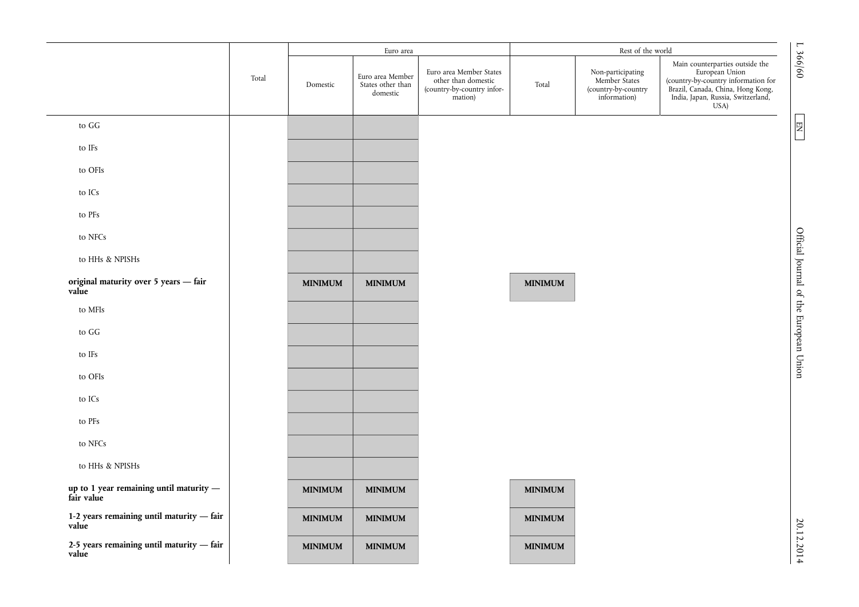|                                                         |       |                | Euro area                                         |                                                                                         |                | Rest of the world                                                         |                                                                                                                                                                             |
|---------------------------------------------------------|-------|----------------|---------------------------------------------------|-----------------------------------------------------------------------------------------|----------------|---------------------------------------------------------------------------|-----------------------------------------------------------------------------------------------------------------------------------------------------------------------------|
|                                                         | Total | Domestic       | Euro area Member<br>States other than<br>domestic | Euro area Member States<br>other than domestic<br>(country-by-country infor-<br>mation) | Total          | Non-participating<br>Member States<br>(country-by-country<br>information) | Main counterparties outside the<br>European Union<br>(country-by-country information for<br>Brazil, Canada, China, Hong Kong,<br>India, Japan, Russia, Switzerland,<br>USA) |
| to GG                                                   |       |                |                                                   |                                                                                         |                |                                                                           | $\overline{\mathbb{E}}$                                                                                                                                                     |
| to IFs                                                  |       |                |                                                   |                                                                                         |                |                                                                           |                                                                                                                                                                             |
| to OFIs                                                 |       |                |                                                   |                                                                                         |                |                                                                           |                                                                                                                                                                             |
| to ICs                                                  |       |                |                                                   |                                                                                         |                |                                                                           |                                                                                                                                                                             |
| to PFs                                                  |       |                |                                                   |                                                                                         |                |                                                                           |                                                                                                                                                                             |
| to NFCs                                                 |       |                |                                                   |                                                                                         |                |                                                                           |                                                                                                                                                                             |
| to HHs & NPISHs                                         |       |                |                                                   |                                                                                         |                |                                                                           |                                                                                                                                                                             |
| original maturity over 5 years - fair<br>value          |       | <b>MINIMUM</b> | <b>MINIMUM</b>                                    |                                                                                         | <b>MINIMUM</b> |                                                                           | Official Journal of the European Union                                                                                                                                      |
| to MFIs                                                 |       |                |                                                   |                                                                                         |                |                                                                           |                                                                                                                                                                             |
| to ${\rm GG}$                                           |       |                |                                                   |                                                                                         |                |                                                                           |                                                                                                                                                                             |
| to IFs                                                  |       |                |                                                   |                                                                                         |                |                                                                           |                                                                                                                                                                             |
| to OFIs                                                 |       |                |                                                   |                                                                                         |                |                                                                           |                                                                                                                                                                             |
| to ICs                                                  |       |                |                                                   |                                                                                         |                |                                                                           |                                                                                                                                                                             |
| to PFs                                                  |       |                |                                                   |                                                                                         |                |                                                                           |                                                                                                                                                                             |
| to NFCs                                                 |       |                |                                                   |                                                                                         |                |                                                                           |                                                                                                                                                                             |
| to HHs & NPISHs                                         |       |                |                                                   |                                                                                         |                |                                                                           |                                                                                                                                                                             |
| up to 1 year remaining until maturity $-$<br>fair value |       | <b>MINIMUM</b> | <b>MINIMUM</b>                                    |                                                                                         | <b>MINIMUM</b> |                                                                           |                                                                                                                                                                             |
| 1-2 years remaining until maturity - fair<br>value      |       | <b>MINIMUM</b> | <b>MINIMUM</b>                                    |                                                                                         | <b>MINIMUM</b> |                                                                           |                                                                                                                                                                             |
| 2-5 years remaining until maturity - fair<br>value      |       | <b>MINIMUM</b> | <b>MINIMUM</b>                                    |                                                                                         | <b>MINIMUM</b> |                                                                           |                                                                                                                                                                             |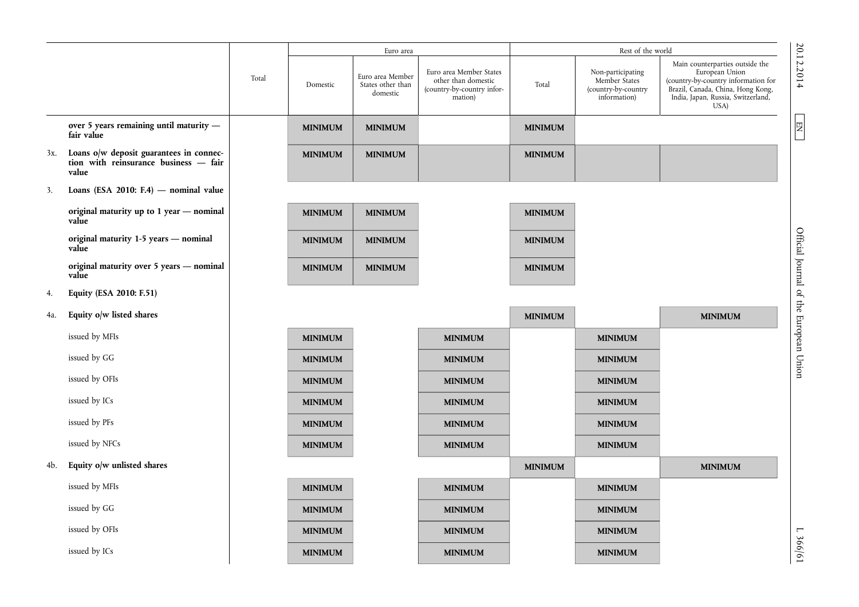|     |                                                                                           |       |                | Euro area                                         |                                                                                         |                | Rest of the world                                                         |                                                                                                                                                                             |                                        |
|-----|-------------------------------------------------------------------------------------------|-------|----------------|---------------------------------------------------|-----------------------------------------------------------------------------------------|----------------|---------------------------------------------------------------------------|-----------------------------------------------------------------------------------------------------------------------------------------------------------------------------|----------------------------------------|
|     |                                                                                           | Total | Domestic       | Euro area Member<br>States other than<br>domestic | Euro area Member States<br>other than domestic<br>(country-by-country infor-<br>mation) | Total          | Non-participating<br>Member States<br>(country-by-country<br>information) | Main counterparties outside the<br>European Union<br>(country-by-country information for<br>Brazil, Canada, China, Hong Kong,<br>India, Japan, Russia, Switzerland,<br>USA) | 20.12.2014                             |
|     | over 5 years remaining until maturity -<br>fair value                                     |       | <b>MINIMUM</b> | <b>MINIMUM</b>                                    |                                                                                         | <b>MINIMUM</b> |                                                                           |                                                                                                                                                                             | 团                                      |
| 3x. | Loans o/w deposit guarantees in connec-<br>tion with reinsurance business - fair<br>value |       | <b>MINIMUM</b> | <b>MINIMUM</b>                                    |                                                                                         | <b>MINIMUM</b> |                                                                           |                                                                                                                                                                             |                                        |
| 3.  | Loans (ESA 2010: F.4) $-$ nominal value                                                   |       |                |                                                   |                                                                                         |                |                                                                           |                                                                                                                                                                             |                                        |
|     | original maturity up to 1 year - nominal<br>value                                         |       | <b>MINIMUM</b> | <b>MINIMUM</b>                                    |                                                                                         | <b>MINIMUM</b> |                                                                           |                                                                                                                                                                             |                                        |
|     | original maturity 1-5 years - nominal<br>value                                            |       | <b>MINIMUM</b> | <b>MINIMUM</b>                                    |                                                                                         | <b>MINIMUM</b> |                                                                           |                                                                                                                                                                             | Official Journal of the European Union |
|     | original maturity over 5 years — nominal<br>value                                         |       | <b>MINIMUM</b> | <b>MINIMUM</b>                                    |                                                                                         | <b>MINIMUM</b> |                                                                           |                                                                                                                                                                             |                                        |
| 4.  | Equity (ESA 2010: F.51)                                                                   |       |                |                                                   |                                                                                         |                |                                                                           |                                                                                                                                                                             |                                        |
| 4a. | Equity o/w listed shares                                                                  |       |                |                                                   |                                                                                         | <b>MINIMUM</b> |                                                                           | <b>MINIMUM</b>                                                                                                                                                              |                                        |
|     | issued by MFIs                                                                            |       | <b>MINIMUM</b> |                                                   | <b>MINIMUM</b>                                                                          |                | <b>MINIMUM</b>                                                            |                                                                                                                                                                             |                                        |
|     | issued by GG                                                                              |       | <b>MINIMUM</b> |                                                   | <b>MINIMUM</b>                                                                          |                | <b>MINIMUM</b>                                                            |                                                                                                                                                                             |                                        |
|     | issued by OFIs                                                                            |       | <b>MINIMUM</b> |                                                   | <b>MINIMUM</b>                                                                          |                | <b>MINIMUM</b>                                                            |                                                                                                                                                                             |                                        |
|     | issued by ICs                                                                             |       | <b>MINIMUM</b> |                                                   | <b>MINIMUM</b>                                                                          |                | <b>MINIMUM</b>                                                            |                                                                                                                                                                             |                                        |
|     | issued by PFs                                                                             |       | <b>MINIMUM</b> |                                                   | <b>MINIMUM</b>                                                                          |                | <b>MINIMUM</b>                                                            |                                                                                                                                                                             |                                        |
|     | issued by NFCs                                                                            |       | <b>MINIMUM</b> |                                                   | <b>MINIMUM</b>                                                                          |                | <b>MINIMUM</b>                                                            |                                                                                                                                                                             |                                        |
| 4b. | Equity o/w unlisted shares                                                                |       |                |                                                   |                                                                                         | <b>MINIMUM</b> |                                                                           | <b>MINIMUM</b>                                                                                                                                                              |                                        |
|     | issued by MFIs                                                                            |       | <b>MINIMUM</b> |                                                   | <b>MINIMUM</b>                                                                          |                | <b>MINIMUM</b>                                                            |                                                                                                                                                                             |                                        |
|     | issued by GG                                                                              |       | <b>MINIMUM</b> |                                                   | <b>MINIMUM</b>                                                                          |                | <b>MINIMUM</b>                                                            |                                                                                                                                                                             |                                        |
|     | issued by OFIs                                                                            |       | <b>MINIMUM</b> |                                                   | <b>MINIMUM</b>                                                                          |                | <b>MINIMUM</b>                                                            |                                                                                                                                                                             |                                        |
|     | issued by ICs                                                                             |       | <b>MINIMUM</b> |                                                   | <b>MINIMUM</b>                                                                          |                | <b>MINIMUM</b>                                                            |                                                                                                                                                                             | L 366/61                               |

L 366/61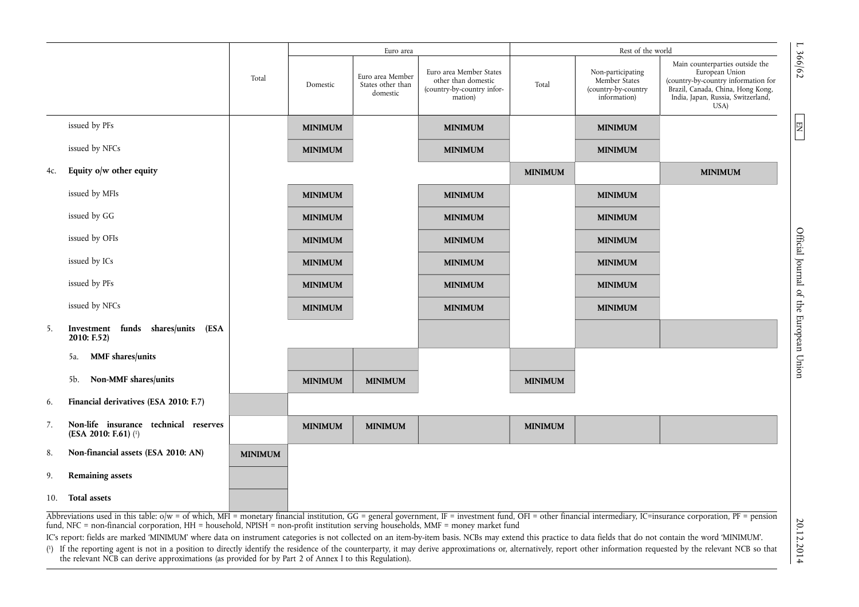|     |                                                                                                                                                                                                                                                                                                                                                                                                                                                                                                                                                                                                                                                                                                                                                                                                                                                                                                                         |                |                | Euro area                                         |                                                                                         |                | Rest of the world                                                         | $\mathsf{L}$                                                                                                                                                                          |
|-----|-------------------------------------------------------------------------------------------------------------------------------------------------------------------------------------------------------------------------------------------------------------------------------------------------------------------------------------------------------------------------------------------------------------------------------------------------------------------------------------------------------------------------------------------------------------------------------------------------------------------------------------------------------------------------------------------------------------------------------------------------------------------------------------------------------------------------------------------------------------------------------------------------------------------------|----------------|----------------|---------------------------------------------------|-----------------------------------------------------------------------------------------|----------------|---------------------------------------------------------------------------|---------------------------------------------------------------------------------------------------------------------------------------------------------------------------------------|
|     |                                                                                                                                                                                                                                                                                                                                                                                                                                                                                                                                                                                                                                                                                                                                                                                                                                                                                                                         | Total          | Domestic       | Euro area Member<br>States other than<br>domestic | Euro area Member States<br>other than domestic<br>(country-by-country infor-<br>mation) | Total          | Non-participating<br>Member States<br>(country-by-country<br>information) | 366/62<br>Main counterparties outside the<br>European Union<br>(country-by-country information for<br>Brazil, Canada, China, Hong Kong,<br>India, Japan, Russia, Switzerland,<br>USA) |
|     | issued by PFs                                                                                                                                                                                                                                                                                                                                                                                                                                                                                                                                                                                                                                                                                                                                                                                                                                                                                                           |                | <b>MINIMUM</b> |                                                   | <b>MINIMUM</b>                                                                          |                | <b>MINIMUM</b>                                                            | 国                                                                                                                                                                                     |
|     | issued by NFCs                                                                                                                                                                                                                                                                                                                                                                                                                                                                                                                                                                                                                                                                                                                                                                                                                                                                                                          |                | <b>MINIMUM</b> |                                                   | <b>MINIMUM</b>                                                                          |                | <b>MINIMUM</b>                                                            |                                                                                                                                                                                       |
| 4c. | Equity $o/w$ other equity                                                                                                                                                                                                                                                                                                                                                                                                                                                                                                                                                                                                                                                                                                                                                                                                                                                                                               |                |                |                                                   |                                                                                         | <b>MINIMUM</b> |                                                                           | <b>MINIMUM</b>                                                                                                                                                                        |
|     | issued by MFIs                                                                                                                                                                                                                                                                                                                                                                                                                                                                                                                                                                                                                                                                                                                                                                                                                                                                                                          |                | <b>MINIMUM</b> |                                                   | <b>MINIMUM</b>                                                                          |                | <b>MINIMUM</b>                                                            |                                                                                                                                                                                       |
|     | issued by GG                                                                                                                                                                                                                                                                                                                                                                                                                                                                                                                                                                                                                                                                                                                                                                                                                                                                                                            |                | <b>MINIMUM</b> |                                                   | <b>MINIMUM</b>                                                                          |                | <b>MINIMUM</b>                                                            |                                                                                                                                                                                       |
|     | issued by OFIs                                                                                                                                                                                                                                                                                                                                                                                                                                                                                                                                                                                                                                                                                                                                                                                                                                                                                                          |                | <b>MINIMUM</b> |                                                   | <b>MINIMUM</b>                                                                          |                | <b>MINIMUM</b>                                                            |                                                                                                                                                                                       |
|     | issued by ICs                                                                                                                                                                                                                                                                                                                                                                                                                                                                                                                                                                                                                                                                                                                                                                                                                                                                                                           |                | <b>MINIMUM</b> |                                                   | <b>MINIMUM</b>                                                                          |                | <b>MINIMUM</b>                                                            |                                                                                                                                                                                       |
|     | issued by PFs                                                                                                                                                                                                                                                                                                                                                                                                                                                                                                                                                                                                                                                                                                                                                                                                                                                                                                           |                | <b>MINIMUM</b> |                                                   | <b>MINIMUM</b>                                                                          |                | <b>MINIMUM</b>                                                            |                                                                                                                                                                                       |
|     | issued by NFCs                                                                                                                                                                                                                                                                                                                                                                                                                                                                                                                                                                                                                                                                                                                                                                                                                                                                                                          |                | <b>MINIMUM</b> |                                                   | <b>MINIMUM</b>                                                                          |                | <b>MINIMUM</b>                                                            |                                                                                                                                                                                       |
| 5.  | Investment funds shares/units (ESA<br>2010: F.52                                                                                                                                                                                                                                                                                                                                                                                                                                                                                                                                                                                                                                                                                                                                                                                                                                                                        |                |                |                                                   |                                                                                         |                |                                                                           | Official Journal of the European Union                                                                                                                                                |
|     | <b>MMF</b> shares/units<br>5a.                                                                                                                                                                                                                                                                                                                                                                                                                                                                                                                                                                                                                                                                                                                                                                                                                                                                                          |                |                |                                                   |                                                                                         |                |                                                                           |                                                                                                                                                                                       |
|     | <b>Non-MMF</b> shares/units<br>5b.                                                                                                                                                                                                                                                                                                                                                                                                                                                                                                                                                                                                                                                                                                                                                                                                                                                                                      |                | <b>MINIMUM</b> | <b>MINIMUM</b>                                    |                                                                                         | <b>MINIMUM</b> |                                                                           |                                                                                                                                                                                       |
| 6.  | Financial derivatives (ESA 2010: F.7)                                                                                                                                                                                                                                                                                                                                                                                                                                                                                                                                                                                                                                                                                                                                                                                                                                                                                   |                |                |                                                   |                                                                                         |                |                                                                           |                                                                                                                                                                                       |
| 7.  | Non-life insurance technical reserves<br>(ESA 2010: F.61) $(1)$                                                                                                                                                                                                                                                                                                                                                                                                                                                                                                                                                                                                                                                                                                                                                                                                                                                         |                | <b>MINIMUM</b> | <b>MINIMUM</b>                                    |                                                                                         | <b>MINIMUM</b> |                                                                           |                                                                                                                                                                                       |
| 8.  | Non-financial assets (ESA 2010: AN)                                                                                                                                                                                                                                                                                                                                                                                                                                                                                                                                                                                                                                                                                                                                                                                                                                                                                     | <b>MINIMUM</b> |                |                                                   |                                                                                         |                |                                                                           |                                                                                                                                                                                       |
| 9.  | <b>Remaining assets</b>                                                                                                                                                                                                                                                                                                                                                                                                                                                                                                                                                                                                                                                                                                                                                                                                                                                                                                 |                |                |                                                   |                                                                                         |                |                                                                           |                                                                                                                                                                                       |
| 10. | <b>Total assets</b>                                                                                                                                                                                                                                                                                                                                                                                                                                                                                                                                                                                                                                                                                                                                                                                                                                                                                                     |                |                |                                                   |                                                                                         |                |                                                                           |                                                                                                                                                                                       |
|     | Abbreviations used in this table: o/w = of which, MFI = monetary financial institution, GG = general government, IF = investment fund, OFI = other financial intermediary, IC=insurance corporation, PF = pension<br>20.12.2014<br>fund, NFC = non-financial corporation, HH = household, NPISH = non-profit institution serving households, MMF = money market fund<br>IC's report: fields are marked 'MINIMUM' where data on instrument categories is not collected on an item-by-item basis. NCBs may extend this practice to data fields that do not contain the word 'MINIMUM'.<br>(1) If the reporting agent is not in a position to directly identify the residence of the counterparty, it may derive approximations or, alternatively, report other information requested by the relevant NCB so that<br>the relevant NCB can derive approximations (as provided for by Part 2 of Annex I to this Regulation). |                |                |                                                   |                                                                                         |                |                                                                           |                                                                                                                                                                                       |

Official Journal of the European Union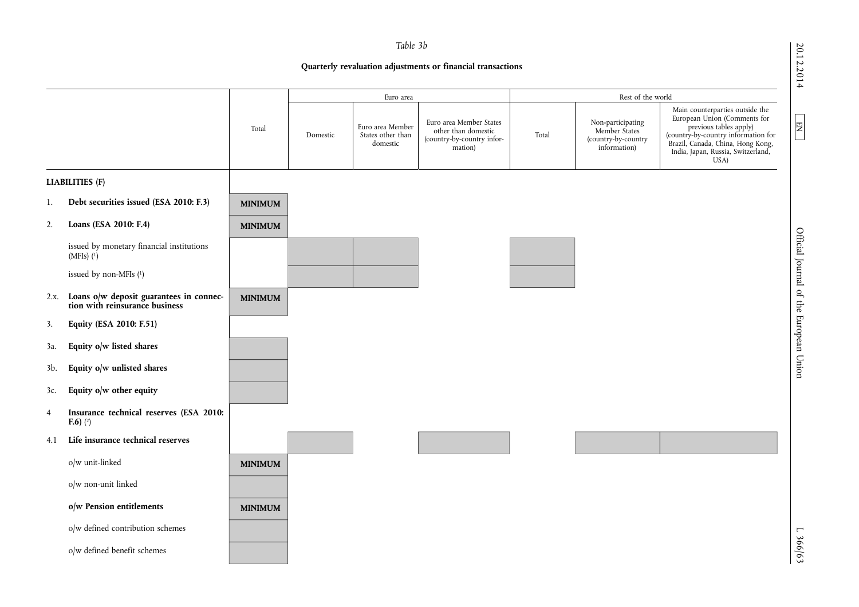20.12.2014

EN

20.12.2014 L  $\Box$  EN  $\Box$   $\Box$  D  $\Box$  D  $\Box$  D  $\Box$  D  $\Box$  D  $\Box$  D  $\Box$  D  $\Box$  D  $\Box$  D  $\Box$  D  $\Box$  D  $\Box$  D  $\Box$  D  $\Box$  D  $\Box$  D  $\Box$  D  $\Box$  D  $\Box$  D  $\Box$  D  $\Box$  D  $\Box$  D  $\Box$  D  $\Box$  D  $\Box$  D  $\Box$  D  $\Box$  D  $\Box$  D  $\Box$  D Official Journal of the European Union

## *Table 3b*

## **Quarterly revaluation adjustments or financial transactions**

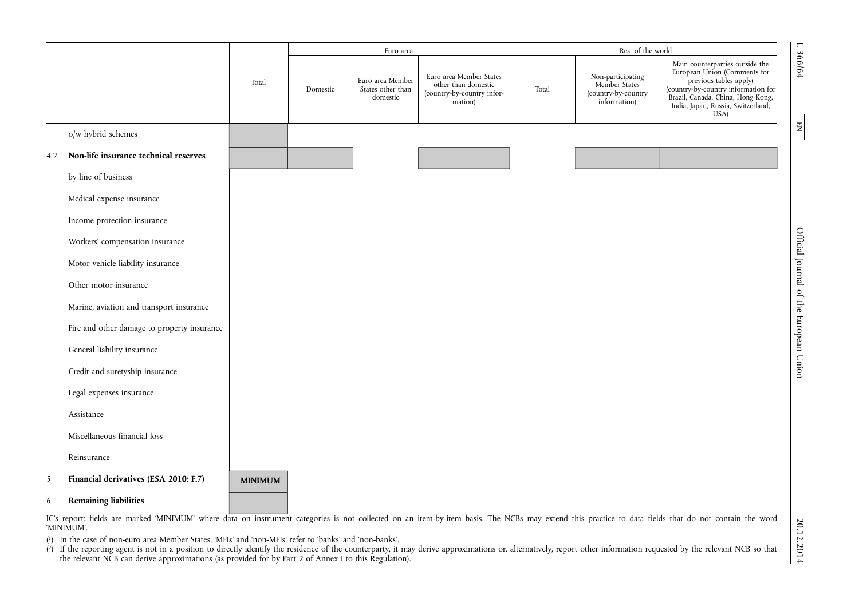|     |                                             |                |          | Euro area                                         |                                                                                         |       | Rest of the world                                                         | $\overline{a}$                                                                                                                                                                                                                |
|-----|---------------------------------------------|----------------|----------|---------------------------------------------------|-----------------------------------------------------------------------------------------|-------|---------------------------------------------------------------------------|-------------------------------------------------------------------------------------------------------------------------------------------------------------------------------------------------------------------------------|
|     |                                             | Total          | Domestic | Euro area Member<br>States other than<br>domestic | Euro area Member States<br>other than domestic<br>(country-by-country infor-<br>mation) | Total | Non-participating<br>Member States<br>(country-by-country<br>information) | 366/64<br>Main counterparties outside the<br>European Union (Comments for<br>previous tables apply)<br>(country-by-country information for<br>Brazil, Canada, China, Hong Kong,<br>India, Japan, Russia, Switzerland,<br>USA) |
|     | o/w hybrid schemes                          |                |          |                                                   |                                                                                         |       |                                                                           | $\overline{\textrm{H}}$                                                                                                                                                                                                       |
| 4.2 | Non-life insurance technical reserves       |                |          |                                                   |                                                                                         |       |                                                                           |                                                                                                                                                                                                                               |
|     | by line of business                         |                |          |                                                   |                                                                                         |       |                                                                           |                                                                                                                                                                                                                               |
|     | Medical expense insurance                   |                |          |                                                   |                                                                                         |       |                                                                           |                                                                                                                                                                                                                               |
|     | Income protection insurance                 |                |          |                                                   |                                                                                         |       |                                                                           |                                                                                                                                                                                                                               |
|     | Workers' compensation insurance             |                |          |                                                   |                                                                                         |       |                                                                           |                                                                                                                                                                                                                               |
|     | Motor vehicle liability insurance           |                |          |                                                   |                                                                                         |       |                                                                           | Official Journal of the European Union                                                                                                                                                                                        |
|     | Other motor insurance                       |                |          |                                                   |                                                                                         |       |                                                                           |                                                                                                                                                                                                                               |
|     | Marine, aviation and transport insurance    |                |          |                                                   |                                                                                         |       |                                                                           |                                                                                                                                                                                                                               |
|     | Fire and other damage to property insurance |                |          |                                                   |                                                                                         |       |                                                                           |                                                                                                                                                                                                                               |
|     | General liability insurance                 |                |          |                                                   |                                                                                         |       |                                                                           |                                                                                                                                                                                                                               |
|     | Credit and suretyship insurance             |                |          |                                                   |                                                                                         |       |                                                                           |                                                                                                                                                                                                                               |
|     | Legal expenses insurance                    |                |          |                                                   |                                                                                         |       |                                                                           |                                                                                                                                                                                                                               |
|     | Assistance                                  |                |          |                                                   |                                                                                         |       |                                                                           |                                                                                                                                                                                                                               |
|     | Miscellaneous financial loss                |                |          |                                                   |                                                                                         |       |                                                                           |                                                                                                                                                                                                                               |
|     | Reinsurance                                 |                |          |                                                   |                                                                                         |       |                                                                           |                                                                                                                                                                                                                               |
| 5   | Financial derivatives (ESA 2010: F.7)       | <b>MINIMUM</b> |          |                                                   |                                                                                         |       |                                                                           |                                                                                                                                                                                                                               |
| 6   | <b>Remaining liabilities</b>                |                |          |                                                   |                                                                                         |       |                                                                           |                                                                                                                                                                                                                               |

IC's report: fields are marked 'MINIMUM' where data on instrument categories is not collected on an item-by-item basis. The NCBs may extend this practice to data fields that do not contain the word 'MINIMUM'.

( 1) In the case of non-euro area Member States, 'MFIs' and 'non-MFIs' refer to 'banks' and 'non-banks'.

( 2) If the reporting agent is not in a position to directly identify the residence of the counterparty, it may derive approximations or, alternatively, report other information requested by the relevant NCB so that the relevant NCB can derive approximations (as provided for by Part 2 of Annex I to this Regulation).

 $20.2012$  L  $\approx 2000$  Demonstrangled of the European Union Englishment D. 2011-12014 20.12.2014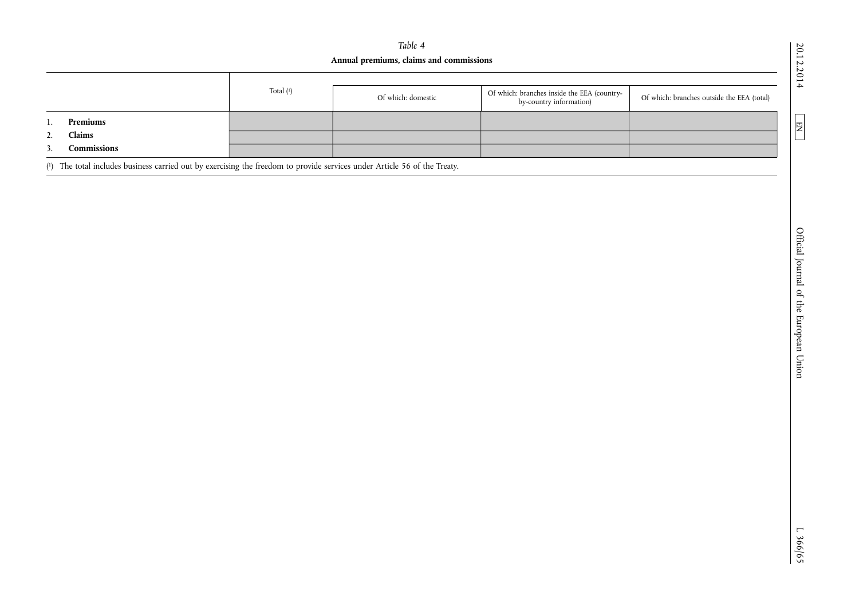# *Table 4*  **Annual premiums, claims and commissions**

|                                                                                                                 | Total $(1)$ | Of which: domestic | Of which: branches inside the EEA (country-<br>by-country information) | Of which: branches outside the EEA (total) |
|-----------------------------------------------------------------------------------------------------------------|-------------|--------------------|------------------------------------------------------------------------|--------------------------------------------|
| Premiums                                                                                                        |             |                    |                                                                        |                                            |
| Claims                                                                                                          |             |                    |                                                                        |                                            |
| Commissions                                                                                                     |             |                    |                                                                        |                                            |
| the contract of the contract of the contract of the contract of the contract of the contract of the contract of |             |                    |                                                                        |                                            |

( 1) The total includes business carried out by exercising the freedom to provide services under Article 56 of the Treaty.

20.12.2014

 $\boxed{\text{EN}}$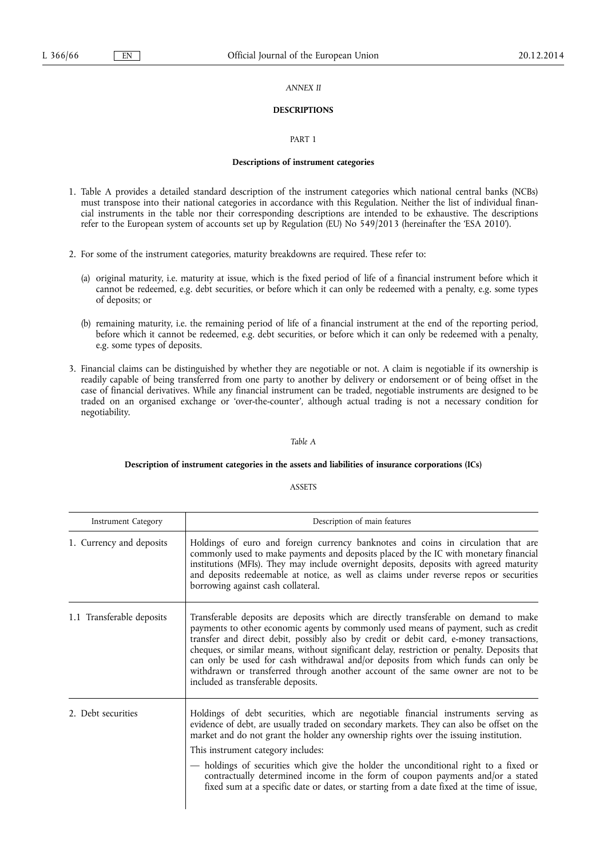## *ANNEX II*

## **DESCRIPTIONS**

#### PART 1

#### **Descriptions of instrument categories**

- 1. Table A provides a detailed standard description of the instrument categories which national central banks (NCBs) must transpose into their national categories in accordance with this Regulation. Neither the list of individual financial instruments in the table nor their corresponding descriptions are intended to be exhaustive. The descriptions refer to the European system of accounts set up by Regulation (EU) No 549/2013 (hereinafter the 'ESA 2010').
- 2. For some of the instrument categories, maturity breakdowns are required. These refer to:
	- (a) original maturity, i.e. maturity at issue, which is the fixed period of life of a financial instrument before which it cannot be redeemed, e.g. debt securities, or before which it can only be redeemed with a penalty, e.g. some types of deposits; or
	- (b) remaining maturity, i.e. the remaining period of life of a financial instrument at the end of the reporting period, before which it cannot be redeemed, e.g. debt securities, or before which it can only be redeemed with a penalty, e.g. some types of deposits.
- 3. Financial claims can be distinguished by whether they are negotiable or not. A claim is negotiable if its ownership is readily capable of being transferred from one party to another by delivery or endorsement or of being offset in the case of financial derivatives. While any financial instrument can be traded, negotiable instruments are designed to be traded on an organised exchange or 'over-the-counter', although actual trading is not a necessary condition for negotiability.

## *Table A*

## **Description of instrument categories in the assets and liabilities of insurance corporations (ICs)**

#### ASSETS

| <b>Instrument Category</b> | Description of main features                                                                                                                                                                                                                                                                                                                                                                                                                                                                                                                                                           |
|----------------------------|----------------------------------------------------------------------------------------------------------------------------------------------------------------------------------------------------------------------------------------------------------------------------------------------------------------------------------------------------------------------------------------------------------------------------------------------------------------------------------------------------------------------------------------------------------------------------------------|
| 1. Currency and deposits   | Holdings of euro and foreign currency banknotes and coins in circulation that are<br>commonly used to make payments and deposits placed by the IC with monetary financial<br>institutions (MFIs). They may include overnight deposits, deposits with agreed maturity<br>and deposits redeemable at notice, as well as claims under reverse repos or securities<br>borrowing against cash collateral.                                                                                                                                                                                   |
| 1.1 Transferable deposits  | Transferable deposits are deposits which are directly transferable on demand to make<br>payments to other economic agents by commonly used means of payment, such as credit<br>transfer and direct debit, possibly also by credit or debit card, e-money transactions,<br>cheques, or similar means, without significant delay, restriction or penalty. Deposits that<br>can only be used for cash withdrawal and/or deposits from which funds can only be<br>withdrawn or transferred through another account of the same owner are not to be<br>included as transferable deposits.   |
| 2. Debt securities         | Holdings of debt securities, which are negotiable financial instruments serving as<br>evidence of debt, are usually traded on secondary markets. They can also be offset on the<br>market and do not grant the holder any ownership rights over the issuing institution.<br>This instrument category includes:<br>- holdings of securities which give the holder the unconditional right to a fixed or<br>contractually determined income in the form of coupon payments and/or a stated<br>fixed sum at a specific date or dates, or starting from a date fixed at the time of issue, |

 $\mathbf l$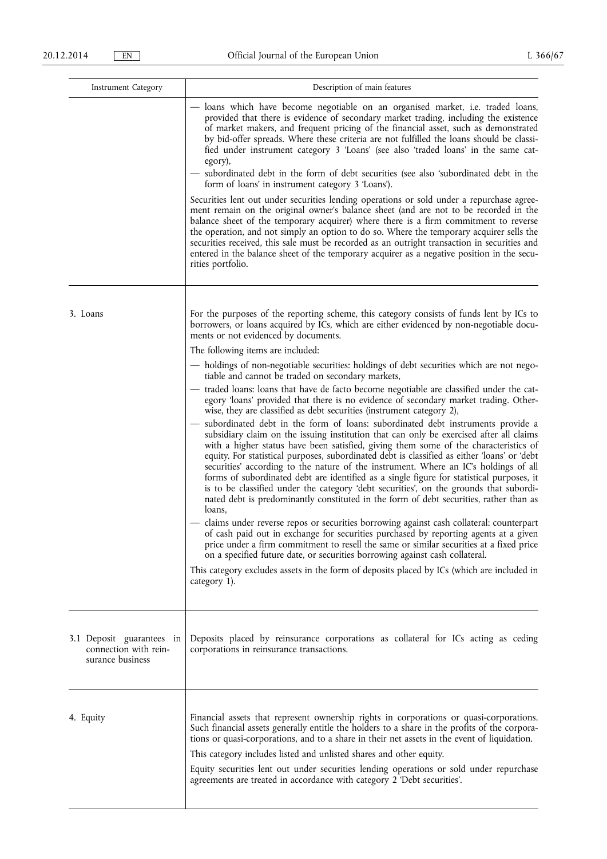| Instrument Category                                                    | Description of main features                                                                                                                                                                                                                                                                                                                                                                                                                                                                                                                                                                                                                                                                                                                          |
|------------------------------------------------------------------------|-------------------------------------------------------------------------------------------------------------------------------------------------------------------------------------------------------------------------------------------------------------------------------------------------------------------------------------------------------------------------------------------------------------------------------------------------------------------------------------------------------------------------------------------------------------------------------------------------------------------------------------------------------------------------------------------------------------------------------------------------------|
|                                                                        | — loans which have become negotiable on an organised market, i.e. traded loans,<br>provided that there is evidence of secondary market trading, including the existence<br>of market makers, and frequent pricing of the financial asset, such as demonstrated<br>by bid-offer spreads. Where these criteria are not fulfilled the loans should be classi-<br>fied under instrument category 3 'Loans' (see also 'traded loans' in the same cat-<br>egory),                                                                                                                                                                                                                                                                                           |
|                                                                        | - subordinated debt in the form of debt securities (see also 'subordinated debt in the<br>form of loans' in instrument category 3 'Loans').                                                                                                                                                                                                                                                                                                                                                                                                                                                                                                                                                                                                           |
|                                                                        | Securities lent out under securities lending operations or sold under a repurchase agree-<br>ment remain on the original owner's balance sheet (and are not to be recorded in the<br>balance sheet of the temporary acquirer) where there is a firm commitment to reverse<br>the operation, and not simply an option to do so. Where the temporary acquirer sells the<br>securities received, this sale must be recorded as an outright transaction in securities and<br>entered in the balance sheet of the temporary acquirer as a negative position in the secu-<br>rities portfolio.                                                                                                                                                              |
| 3. Loans                                                               | For the purposes of the reporting scheme, this category consists of funds lent by ICs to<br>borrowers, or loans acquired by ICs, which are either evidenced by non-negotiable docu-<br>ments or not evidenced by documents.<br>The following items are included:                                                                                                                                                                                                                                                                                                                                                                                                                                                                                      |
|                                                                        | - holdings of non-negotiable securities: holdings of debt securities which are not nego-                                                                                                                                                                                                                                                                                                                                                                                                                                                                                                                                                                                                                                                              |
|                                                                        | tiable and cannot be traded on secondary markets,<br>- traded loans: loans that have de facto become negotiable are classified under the cat-<br>egory 'loans' provided that there is no evidence of secondary market trading. Other-<br>wise, they are classified as debt securities (instrument category 2),                                                                                                                                                                                                                                                                                                                                                                                                                                        |
|                                                                        | subordinated debt in the form of loans: subordinated debt instruments provide a<br>subsidiary claim on the issuing institution that can only be exercised after all claims<br>with a higher status have been satisfied, giving them some of the characteristics of<br>equity. For statistical purposes, subordinated debt is classified as either 'loans' or 'debt<br>securities' according to the nature of the instrument. Where an IC's holdings of all<br>forms of subordinated debt are identified as a single figure for statistical purposes, it<br>is to be classified under the category 'debt securities', on the grounds that subordi-<br>nated debt is predominantly constituted in the form of debt securities, rather than as<br>loans, |
|                                                                        | — claims under reverse repos or securities borrowing against cash collateral: counterpart<br>of cash paid out in exchange for securities purchased by reporting agents at a given<br>price under a firm commitment to resell the same or similar securities at a fixed price<br>on a specified future date, or securities borrowing against cash collateral.                                                                                                                                                                                                                                                                                                                                                                                          |
|                                                                        | This category excludes assets in the form of deposits placed by ICs (which are included in<br>category 1).                                                                                                                                                                                                                                                                                                                                                                                                                                                                                                                                                                                                                                            |
| 3.1 Deposit guarantees in<br>connection with rein-<br>surance business | Deposits placed by reinsurance corporations as collateral for ICs acting as ceding<br>corporations in reinsurance transactions.                                                                                                                                                                                                                                                                                                                                                                                                                                                                                                                                                                                                                       |
| 4. Equity                                                              | Financial assets that represent ownership rights in corporations or quasi-corporations.<br>Such financial assets generally entitle the holders to a share in the profits of the corpora-<br>tions or quasi-corporations, and to a share in their net assets in the event of liquidation.<br>This category includes listed and unlisted shares and other equity.<br>Equity securities lent out under securities lending operations or sold under repurchase<br>agreements are treated in accordance with category 2 'Debt securities'.                                                                                                                                                                                                                 |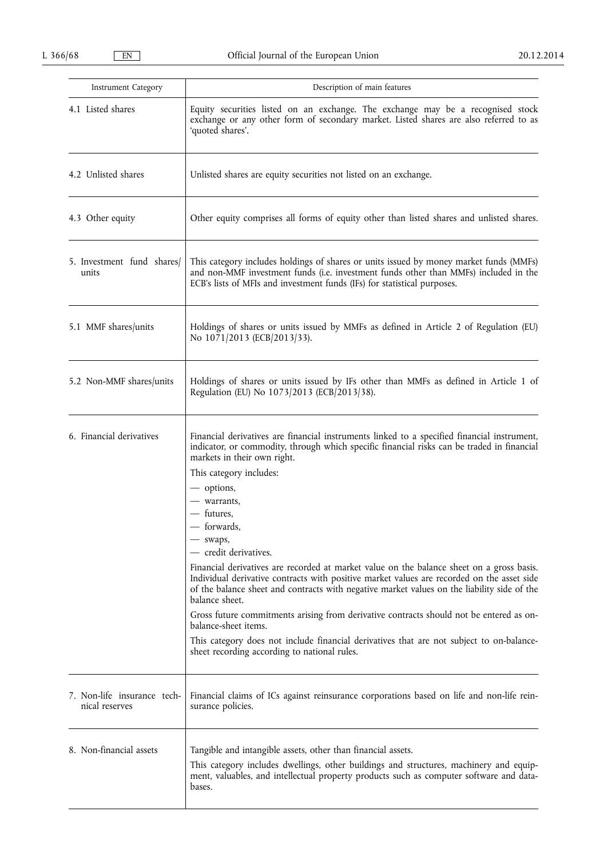| <b>Instrument Category</b>                    | Description of main features                                                                                                                                                                                                                                                                                                                                                                                                                                                                                                                                                                                                                                                                                                                                                                                                                                                                                                  |
|-----------------------------------------------|-------------------------------------------------------------------------------------------------------------------------------------------------------------------------------------------------------------------------------------------------------------------------------------------------------------------------------------------------------------------------------------------------------------------------------------------------------------------------------------------------------------------------------------------------------------------------------------------------------------------------------------------------------------------------------------------------------------------------------------------------------------------------------------------------------------------------------------------------------------------------------------------------------------------------------|
| 4.1 Listed shares                             | Equity securities listed on an exchange. The exchange may be a recognised stock<br>exchange or any other form of secondary market. Listed shares are also referred to as<br>'quoted shares'.                                                                                                                                                                                                                                                                                                                                                                                                                                                                                                                                                                                                                                                                                                                                  |
| 4.2 Unlisted shares                           | Unlisted shares are equity securities not listed on an exchange.                                                                                                                                                                                                                                                                                                                                                                                                                                                                                                                                                                                                                                                                                                                                                                                                                                                              |
| 4.3 Other equity                              | Other equity comprises all forms of equity other than listed shares and unlisted shares.                                                                                                                                                                                                                                                                                                                                                                                                                                                                                                                                                                                                                                                                                                                                                                                                                                      |
| 5. Investment fund shares<br>units            | This category includes holdings of shares or units issued by money market funds (MMFs)<br>and non-MMF investment funds (i.e. investment funds other than MMFs) included in the<br>ECB's lists of MFIs and investment funds (IFs) for statistical purposes.                                                                                                                                                                                                                                                                                                                                                                                                                                                                                                                                                                                                                                                                    |
| 5.1 MMF shares/units                          | Holdings of shares or units issued by MMFs as defined in Article 2 of Regulation (EU)<br>No 1071/2013 (ECB/2013/33).                                                                                                                                                                                                                                                                                                                                                                                                                                                                                                                                                                                                                                                                                                                                                                                                          |
| 5.2 Non-MMF shares/units                      | Holdings of shares or units issued by IFs other than MMFs as defined in Article 1 of<br>Regulation (EU) No 1073/2013 (ECB/2013/38).                                                                                                                                                                                                                                                                                                                                                                                                                                                                                                                                                                                                                                                                                                                                                                                           |
| 6. Financial derivatives                      | Financial derivatives are financial instruments linked to a specified financial instrument,<br>indicator, or commodity, through which specific financial risks can be traded in financial<br>markets in their own right.<br>This category includes:<br>- options,<br>- warrants,<br>- futures,<br>- forwards,<br>- swaps,<br>— credit derivatives.<br>Financial derivatives are recorded at market value on the balance sheet on a gross basis.<br>Individual derivative contracts with positive market values are recorded on the asset side<br>of the balance sheet and contracts with negative market values on the liability side of the<br>balance sheet.<br>Gross future commitments arising from derivative contracts should not be entered as on-<br>balance-sheet items.<br>This category does not include financial derivatives that are not subject to on-balance-<br>sheet recording according to national rules. |
| 7. Non-life insurance tech-<br>nical reserves | Financial claims of ICs against reinsurance corporations based on life and non-life rein-<br>surance policies.                                                                                                                                                                                                                                                                                                                                                                                                                                                                                                                                                                                                                                                                                                                                                                                                                |
| 8. Non-financial assets                       | Tangible and intangible assets, other than financial assets.<br>This category includes dwellings, other buildings and structures, machinery and equip-<br>ment, valuables, and intellectual property products such as computer software and data-<br>bases.                                                                                                                                                                                                                                                                                                                                                                                                                                                                                                                                                                                                                                                                   |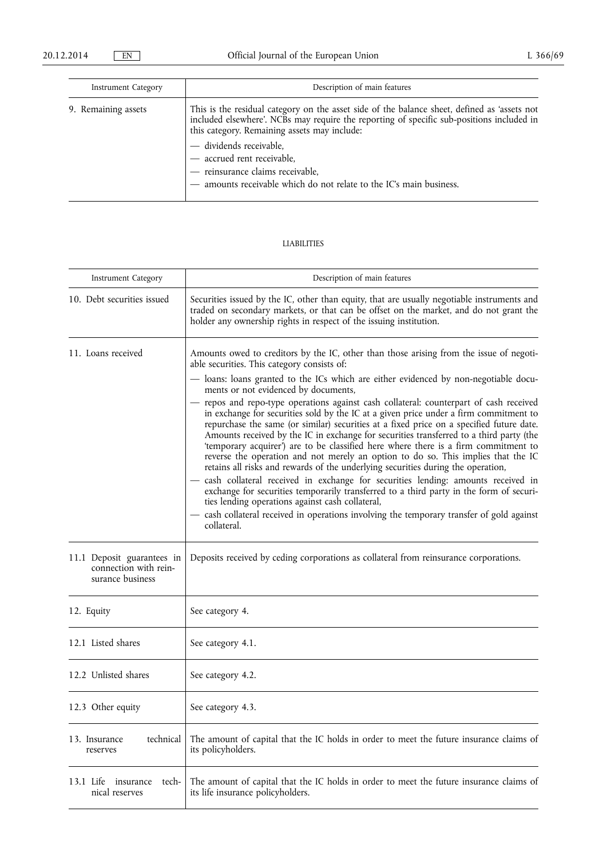| Instrument Category | Description of main features                                                                                                                                                                                                                                                                                                                                                                                  |
|---------------------|---------------------------------------------------------------------------------------------------------------------------------------------------------------------------------------------------------------------------------------------------------------------------------------------------------------------------------------------------------------------------------------------------------------|
| 9. Remaining assets | This is the residual category on the asset side of the balance sheet, defined as 'assets not<br>included elsewhere'. NCBs may require the reporting of specific sub-positions included in<br>this category. Remaining assets may include:<br>- dividends receivable,<br>- accrued rent receivable,<br>- reinsurance claims receivable,<br>- amounts receivable which do not relate to the IC's main business. |

## LIABILITIES

| Instrument Category                                                     | Description of main features                                                                                                                                                                                                                                                                                                                                                                                                                                                                                                                                                                                                                                                                                                                                                                                                                                                                                                                                                          |
|-------------------------------------------------------------------------|---------------------------------------------------------------------------------------------------------------------------------------------------------------------------------------------------------------------------------------------------------------------------------------------------------------------------------------------------------------------------------------------------------------------------------------------------------------------------------------------------------------------------------------------------------------------------------------------------------------------------------------------------------------------------------------------------------------------------------------------------------------------------------------------------------------------------------------------------------------------------------------------------------------------------------------------------------------------------------------|
| 10. Debt securities issued                                              | Securities issued by the IC, other than equity, that are usually negotiable instruments and<br>traded on secondary markets, or that can be offset on the market, and do not grant the<br>holder any ownership rights in respect of the issuing institution.                                                                                                                                                                                                                                                                                                                                                                                                                                                                                                                                                                                                                                                                                                                           |
| 11. Loans received                                                      | Amounts owed to creditors by the IC, other than those arising from the issue of negoti-<br>able securities. This category consists of:                                                                                                                                                                                                                                                                                                                                                                                                                                                                                                                                                                                                                                                                                                                                                                                                                                                |
|                                                                         | - loans: loans granted to the ICs which are either evidenced by non-negotiable docu-<br>ments or not evidenced by documents,                                                                                                                                                                                                                                                                                                                                                                                                                                                                                                                                                                                                                                                                                                                                                                                                                                                          |
|                                                                         | - repos and repo-type operations against cash collateral: counterpart of cash received<br>in exchange for securities sold by the IC at a given price under a firm commitment to<br>repurchase the same (or similar) securities at a fixed price on a specified future date.<br>Amounts received by the IC in exchange for securities transferred to a third party (the<br>'temporary acquirer') are to be classified here where there is a firm commitment to<br>reverse the operation and not merely an option to do so. This implies that the IC<br>retains all risks and rewards of the underlying securities during the operation,<br>- cash collateral received in exchange for securities lending: amounts received in<br>exchange for securities temporarily transferred to a third party in the form of securi-<br>ties lending operations against cash collateral,<br>cash collateral received in operations involving the temporary transfer of gold against<br>collateral. |
| 11.1 Deposit guarantees in<br>connection with rein-<br>surance business | Deposits received by ceding corporations as collateral from reinsurance corporations.                                                                                                                                                                                                                                                                                                                                                                                                                                                                                                                                                                                                                                                                                                                                                                                                                                                                                                 |
| 12. Equity                                                              | See category 4.                                                                                                                                                                                                                                                                                                                                                                                                                                                                                                                                                                                                                                                                                                                                                                                                                                                                                                                                                                       |
| 12.1 Listed shares                                                      | See category 4.1.                                                                                                                                                                                                                                                                                                                                                                                                                                                                                                                                                                                                                                                                                                                                                                                                                                                                                                                                                                     |
| 12.2 Unlisted shares                                                    | See category 4.2.                                                                                                                                                                                                                                                                                                                                                                                                                                                                                                                                                                                                                                                                                                                                                                                                                                                                                                                                                                     |
| 12.3 Other equity                                                       | See category 4.3.                                                                                                                                                                                                                                                                                                                                                                                                                                                                                                                                                                                                                                                                                                                                                                                                                                                                                                                                                                     |
| technical<br>13. Insurance<br>reserves                                  | The amount of capital that the IC holds in order to meet the future insurance claims of<br>its policyholders.                                                                                                                                                                                                                                                                                                                                                                                                                                                                                                                                                                                                                                                                                                                                                                                                                                                                         |
| tech-<br>13.1 Life<br>insurance<br>nical reserves                       | The amount of capital that the IC holds in order to meet the future insurance claims of<br>its life insurance policyholders.                                                                                                                                                                                                                                                                                                                                                                                                                                                                                                                                                                                                                                                                                                                                                                                                                                                          |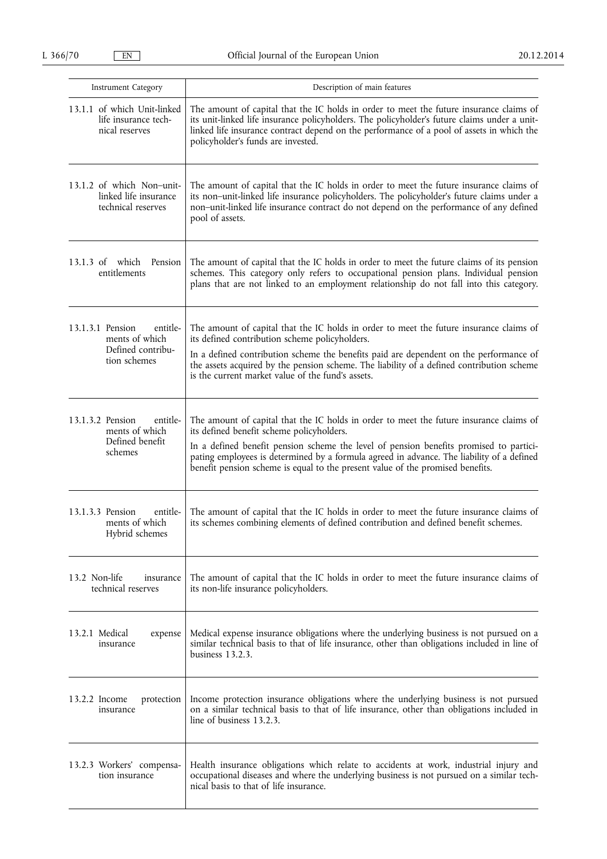| Instrument Category                                                                 | Description of main features                                                                                                                                                                                                                                                                                                                                                                                  |
|-------------------------------------------------------------------------------------|---------------------------------------------------------------------------------------------------------------------------------------------------------------------------------------------------------------------------------------------------------------------------------------------------------------------------------------------------------------------------------------------------------------|
| 13.1.1 of which Unit-linked<br>life insurance tech-<br>nical reserves               | The amount of capital that the IC holds in order to meet the future insurance claims of<br>its unit-linked life insurance policyholders. The policyholder's future claims under a unit-<br>linked life insurance contract depend on the performance of a pool of assets in which the<br>policyholder's funds are invested.                                                                                    |
| 13.1.2 of which Non-unit-<br>linked life insurance<br>technical reserves            | The amount of capital that the IC holds in order to meet the future insurance claims of<br>its non-unit-linked life insurance policyholders. The policyholder's future claims under a<br>non-unit-linked life insurance contract do not depend on the performance of any defined<br>pool of assets.                                                                                                           |
| $13.1.3 \text{ of }$<br>which<br>Pension<br>entitlements                            | The amount of capital that the IC holds in order to meet the future claims of its pension<br>schemes. This category only refers to occupational pension plans. Individual pension<br>plans that are not linked to an employment relationship do not fall into this category.                                                                                                                                  |
| entitle-<br>13.1.3.1 Pension<br>ments of which<br>Defined contribu-<br>tion schemes | The amount of capital that the IC holds in order to meet the future insurance claims of<br>its defined contribution scheme policyholders.<br>In a defined contribution scheme the benefits paid are dependent on the performance of<br>the assets acquired by the pension scheme. The liability of a defined contribution scheme<br>is the current market value of the fund's assets.                         |
| 13.1.3.2 Pension<br>entitle-<br>ments of which<br>Defined benefit<br>schemes        | The amount of capital that the IC holds in order to meet the future insurance claims of<br>its defined benefit scheme policyholders.<br>In a defined benefit pension scheme the level of pension benefits promised to partici-<br>pating employees is determined by a formula agreed in advance. The liability of a defined<br>benefit pension scheme is equal to the present value of the promised benefits. |
| entitle-<br>13.1.3.3 Pension<br>ments of which<br>Hybrid schemes                    | The amount of capital that the IC holds in order to meet the future insurance claims of<br>its schemes combining elements of defined contribution and defined benefit schemes.                                                                                                                                                                                                                                |
| 13.2 Non-life<br>insurance<br>technical reserves                                    | The amount of capital that the IC holds in order to meet the future insurance claims of<br>its non-life insurance policyholders.                                                                                                                                                                                                                                                                              |
| 13.2.1 Medical<br>expense<br>insurance                                              | Medical expense insurance obligations where the underlying business is not pursued on a<br>similar technical basis to that of life insurance, other than obligations included in line of<br>business 13.2.3.                                                                                                                                                                                                  |
| 13.2.2 Income<br>protection<br>insurance                                            | Income protection insurance obligations where the underlying business is not pursued<br>on a similar technical basis to that of life insurance, other than obligations included in<br>line of business 13.2.3.                                                                                                                                                                                                |
| 13.2.3 Workers' compensa-<br>tion insurance                                         | Health insurance obligations which relate to accidents at work, industrial injury and<br>occupational diseases and where the underlying business is not pursued on a similar tech-<br>nical basis to that of life insurance.                                                                                                                                                                                  |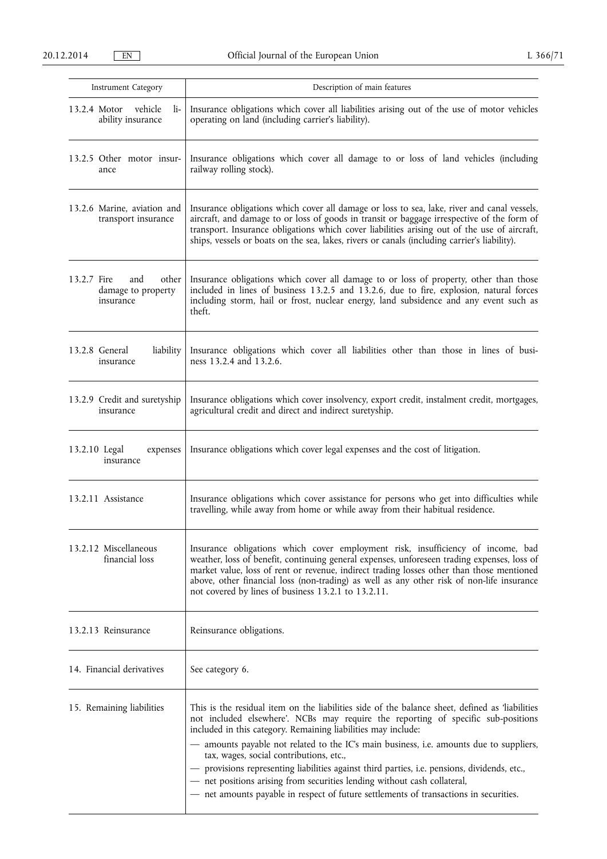| Instrument Category                                            | Description of main features                                                                                                                                                                                                                                                                                                                                                                                                                                                                                                                                                                                                                                     |
|----------------------------------------------------------------|------------------------------------------------------------------------------------------------------------------------------------------------------------------------------------------------------------------------------------------------------------------------------------------------------------------------------------------------------------------------------------------------------------------------------------------------------------------------------------------------------------------------------------------------------------------------------------------------------------------------------------------------------------------|
| vehicle<br>13.2.4 Motor<br>li-<br>ability insurance            | Insurance obligations which cover all liabilities arising out of the use of motor vehicles<br>operating on land (including carrier's liability).                                                                                                                                                                                                                                                                                                                                                                                                                                                                                                                 |
| 13.2.5 Other motor insur-<br>ance                              | Insurance obligations which cover all damage to or loss of land vehicles (including<br>railway rolling stock).                                                                                                                                                                                                                                                                                                                                                                                                                                                                                                                                                   |
| 13.2.6 Marine, aviation and<br>transport insurance             | Insurance obligations which cover all damage or loss to sea, lake, river and canal vessels,<br>aircraft, and damage to or loss of goods in transit or baggage irrespective of the form of<br>transport. Insurance obligations which cover liabilities arising out of the use of aircraft,<br>ships, vessels or boats on the sea, lakes, rivers or canals (including carrier's liability).                                                                                                                                                                                                                                                                        |
| other<br>13.2.7 Fire<br>and<br>damage to property<br>insurance | Insurance obligations which cover all damage to or loss of property, other than those<br>included in lines of business 13.2.5 and 13.2.6, due to fire, explosion, natural forces<br>including storm, hail or frost, nuclear energy, land subsidence and any event such as<br>theft.                                                                                                                                                                                                                                                                                                                                                                              |
| 13.2.8 General<br>liability<br>insurance                       | Insurance obligations which cover all liabilities other than those in lines of busi-<br>ness 13.2.4 and 13.2.6.                                                                                                                                                                                                                                                                                                                                                                                                                                                                                                                                                  |
| 13.2.9 Credit and suretyship<br>insurance                      | Insurance obligations which cover insolvency, export credit, instalment credit, mortgages,<br>agricultural credit and direct and indirect suretyship.                                                                                                                                                                                                                                                                                                                                                                                                                                                                                                            |
| 13.2.10 Legal<br>expenses<br>insurance                         | Insurance obligations which cover legal expenses and the cost of litigation.                                                                                                                                                                                                                                                                                                                                                                                                                                                                                                                                                                                     |
| 13.2.11 Assistance                                             | Insurance obligations which cover assistance for persons who get into difficulties while<br>travelling, while away from home or while away from their habitual residence.                                                                                                                                                                                                                                                                                                                                                                                                                                                                                        |
| 13.2.12 Miscellaneous<br>financial loss                        | Insurance obligations which cover employment risk, insufficiency of income, bad<br>weather, loss of benefit, continuing general expenses, unforeseen trading expenses, loss of<br>market value, loss of rent or revenue, indirect trading losses other than those mentioned<br>above, other financial loss (non-trading) as well as any other risk of non-life insurance<br>not covered by lines of business 13.2.1 to 13.2.11.                                                                                                                                                                                                                                  |
| 13.2.13 Reinsurance                                            | Reinsurance obligations.                                                                                                                                                                                                                                                                                                                                                                                                                                                                                                                                                                                                                                         |
| 14. Financial derivatives                                      | See category 6.                                                                                                                                                                                                                                                                                                                                                                                                                                                                                                                                                                                                                                                  |
| 15. Remaining liabilities                                      | This is the residual item on the liabilities side of the balance sheet, defined as 'liabilities<br>not included elsewhere'. NCBs may require the reporting of specific sub-positions<br>included in this category. Remaining liabilities may include:<br>- amounts payable not related to the IC's main business, i.e. amounts due to suppliers,<br>tax, wages, social contributions, etc.,<br>- provisions representing liabilities against third parties, i.e. pensions, dividends, etc.,<br>- net positions arising from securities lending without cash collateral,<br>- net amounts payable in respect of future settlements of transactions in securities. |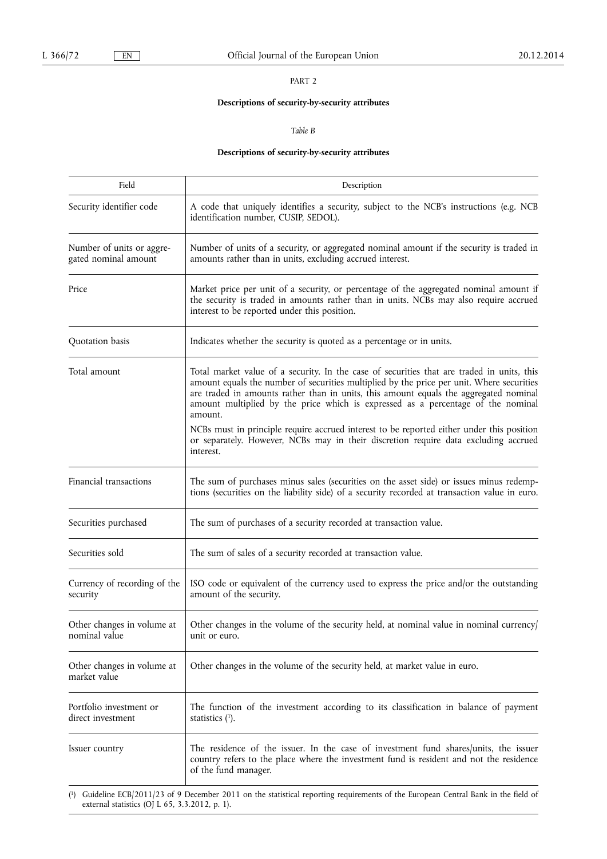# **Descriptions of security-by-security attributes**

*Table B* 

# **Descriptions of security-by-security attributes**

| Field                                             | Description                                                                                                                                                                                                                                                                                                                                                                                                                                                                                                                                                                      |
|---------------------------------------------------|----------------------------------------------------------------------------------------------------------------------------------------------------------------------------------------------------------------------------------------------------------------------------------------------------------------------------------------------------------------------------------------------------------------------------------------------------------------------------------------------------------------------------------------------------------------------------------|
| Security identifier code                          | A code that uniquely identifies a security, subject to the NCB's instructions (e.g. NCB<br>identification number, CUSIP, SEDOL).                                                                                                                                                                                                                                                                                                                                                                                                                                                 |
| Number of units or aggre-<br>gated nominal amount | Number of units of a security, or aggregated nominal amount if the security is traded in<br>amounts rather than in units, excluding accrued interest.                                                                                                                                                                                                                                                                                                                                                                                                                            |
| Price                                             | Market price per unit of a security, or percentage of the aggregated nominal amount if<br>the security is traded in amounts rather than in units. NCBs may also require accrued<br>interest to be reported under this position.                                                                                                                                                                                                                                                                                                                                                  |
| Quotation basis                                   | Indicates whether the security is quoted as a percentage or in units.                                                                                                                                                                                                                                                                                                                                                                                                                                                                                                            |
| Total amount                                      | Total market value of a security. In the case of securities that are traded in units, this<br>amount equals the number of securities multiplied by the price per unit. Where securities<br>are traded in amounts rather than in units, this amount equals the aggregated nominal<br>amount multiplied by the price which is expressed as a percentage of the nominal<br>amount.<br>NCBs must in principle require accrued interest to be reported either under this position<br>or separately. However, NCBs may in their discretion require data excluding accrued<br>interest. |
| Financial transactions                            | The sum of purchases minus sales (securities on the asset side) or issues minus redemp-<br>tions (securities on the liability side) of a security recorded at transaction value in euro.                                                                                                                                                                                                                                                                                                                                                                                         |
| Securities purchased                              | The sum of purchases of a security recorded at transaction value.                                                                                                                                                                                                                                                                                                                                                                                                                                                                                                                |
| Securities sold                                   | The sum of sales of a security recorded at transaction value.                                                                                                                                                                                                                                                                                                                                                                                                                                                                                                                    |
| Currency of recording of the<br>security          | ISO code or equivalent of the currency used to express the price and/or the outstanding<br>amount of the security.                                                                                                                                                                                                                                                                                                                                                                                                                                                               |
| Other changes in volume at<br>nominal value       | Other changes in the volume of the security held, at nominal value in nominal currency/<br>unit or euro.                                                                                                                                                                                                                                                                                                                                                                                                                                                                         |
| Other changes in volume at<br>market value        | Other changes in the volume of the security held, at market value in euro.                                                                                                                                                                                                                                                                                                                                                                                                                                                                                                       |
| Portfolio investment or<br>direct investment      | The function of the investment according to its classification in balance of payment<br>statistics $(1)$ .                                                                                                                                                                                                                                                                                                                                                                                                                                                                       |
| Issuer country                                    | The residence of the issuer. In the case of investment fund shares/units, the issuer<br>country refers to the place where the investment fund is resident and not the residence<br>of the fund manager.                                                                                                                                                                                                                                                                                                                                                                          |
| external statistics (OJ L 65, 3.3.2012, p. 1).    | (1) Guideline ECB/2011/23 of 9 December 2011 on the statistical reporting requirements of the European Central Bank in the field of                                                                                                                                                                                                                                                                                                                                                                                                                                              |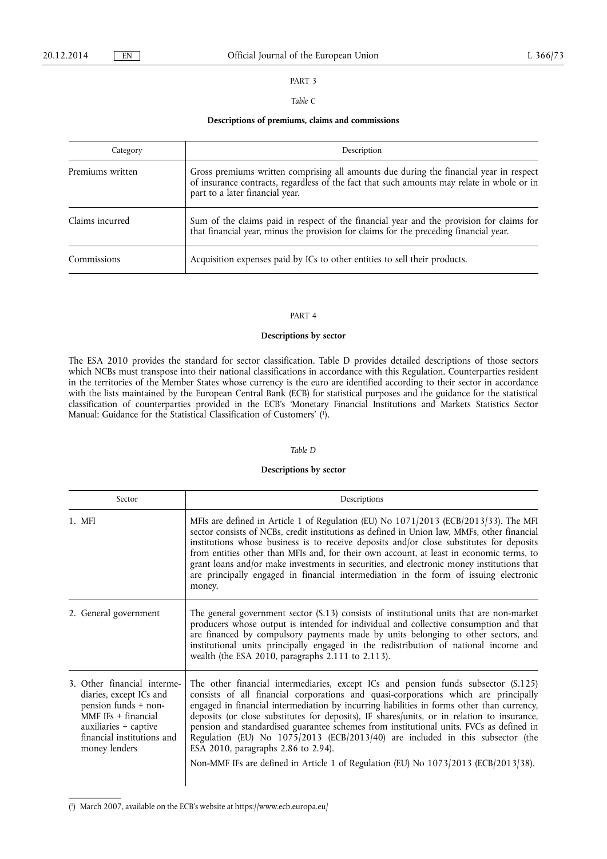## *Table C*

## **Descriptions of premiums, claims and commissions**

| Category         | Description                                                                                                                                                                                                             |
|------------------|-------------------------------------------------------------------------------------------------------------------------------------------------------------------------------------------------------------------------|
| Premiums written | Gross premiums written comprising all amounts due during the financial year in respect<br>of insurance contracts, regardless of the fact that such amounts may relate in whole or in<br>part to a later financial year. |
| Claims incurred  | Sum of the claims paid in respect of the financial year and the provision for claims for that financial year, minus the provision for claims for the preceding financial year.                                          |
| Commissions      | Acquisition expenses paid by ICs to other entities to sell their products.                                                                                                                                              |

#### PART 4

## **Descriptions by sector**

The ESA 2010 provides the standard for sector classification. Table D provides detailed descriptions of those sectors which NCBs must transpose into their national classifications in accordance with this Regulation. Counterparties resident in the territories of the Member States whose currency is the euro are identified according to their sector in accordance with the lists maintained by the European Central Bank (ECB) for statistical purposes and the guidance for the statistical classification of counterparties provided in the ECB's 'Monetary Financial Institutions and Markets Statistics Sector Manual: Guidance for the Statistical Classification of Customers' ( 1 ).

## *Table D*

## **Descriptions by sector**

| Sector                                                                                                                                                                          | Descriptions                                                                                                                                                                                                                                                                                                                                                                                                                                                                                                                                                                                                                                                                      |
|---------------------------------------------------------------------------------------------------------------------------------------------------------------------------------|-----------------------------------------------------------------------------------------------------------------------------------------------------------------------------------------------------------------------------------------------------------------------------------------------------------------------------------------------------------------------------------------------------------------------------------------------------------------------------------------------------------------------------------------------------------------------------------------------------------------------------------------------------------------------------------|
| 1. MFI                                                                                                                                                                          | MFIs are defined in Article 1 of Regulation (EU) No 1071/2013 (ECB/2013/33). The MFI<br>sector consists of NCBs, credit institutions as defined in Union law, MMFs, other financial<br>institutions whose business is to receive deposits and/or close substitutes for deposits<br>from entities other than MFIs and, for their own account, at least in economic terms, to<br>grant loans and/or make investments in securities, and electronic money institutions that<br>are principally engaged in financial intermediation in the form of issuing electronic<br>money.                                                                                                       |
| 2. General government                                                                                                                                                           | The general government sector (S.13) consists of institutional units that are non-market<br>producers whose output is intended for individual and collective consumption and that<br>are financed by compulsory payments made by units belonging to other sectors, and<br>institutional units principally engaged in the redistribution of national income and<br>wealth (the ESA 2010, paragraphs 2.111 to 2.113).                                                                                                                                                                                                                                                               |
| 3. Other financial interme-<br>diaries, except ICs and<br>pension funds + non-<br>MMF IFs $+$ financial<br>auxiliaries + captive<br>financial institutions and<br>money lenders | The other financial intermediaries, except ICs and pension funds subsector (S.125)<br>consists of all financial corporations and quasi-corporations which are principally<br>engaged in financial intermediation by incurring liabilities in forms other than currency,<br>deposits (or close substitutes for deposits), IF shares/units, or in relation to insurance,<br>pension and standardised guarantee schemes from institutional units. FVCs as defined in<br>Regulation (EU) No 1075/2013 (ECB/2013/40) are included in this subsector (the<br>ESA 2010, paragraphs 2.86 to 2.94).<br>Non-MMF IFs are defined in Article 1 of Regulation (EU) No 1073/2013 (ECB/2013/38). |

#### ( 1 ) March 2007, available on the ECB's website at <https://www.ecb.europa.eu/>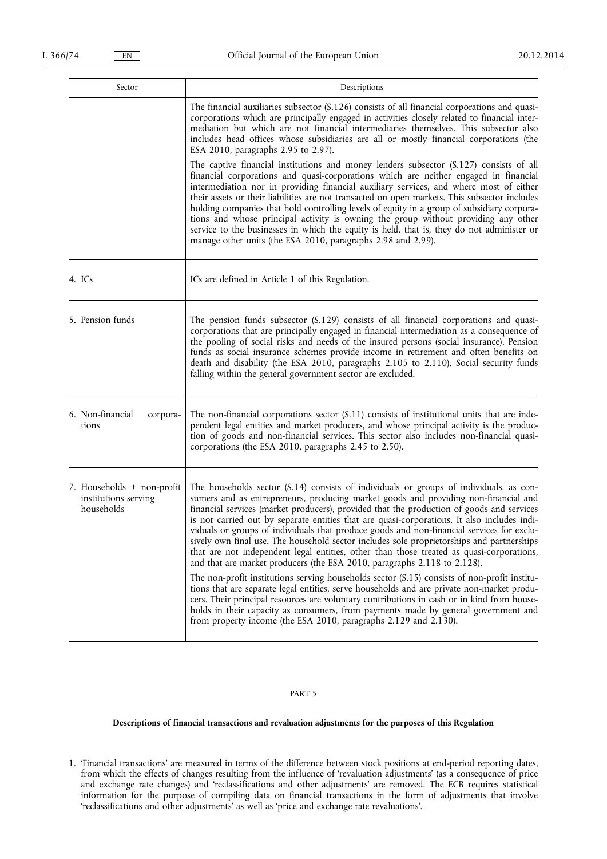| Sector                                                           | Descriptions                                                                                                                                                                                                                                                                                                                                                                                                                                                                                                                                                                                                                                                                                                                                                                                                                                                                                                                                                                                                                                                                                                                                                                                      |
|------------------------------------------------------------------|---------------------------------------------------------------------------------------------------------------------------------------------------------------------------------------------------------------------------------------------------------------------------------------------------------------------------------------------------------------------------------------------------------------------------------------------------------------------------------------------------------------------------------------------------------------------------------------------------------------------------------------------------------------------------------------------------------------------------------------------------------------------------------------------------------------------------------------------------------------------------------------------------------------------------------------------------------------------------------------------------------------------------------------------------------------------------------------------------------------------------------------------------------------------------------------------------|
|                                                                  | The financial auxiliaries subsector (S.126) consists of all financial corporations and quasi-<br>corporations which are principally engaged in activities closely related to financial inter-<br>mediation but which are not financial intermediaries themselves. This subsector also<br>includes head offices whose subsidiaries are all or mostly financial corporations (the<br>ESA 2010, paragraphs 2.95 to 2.97).                                                                                                                                                                                                                                                                                                                                                                                                                                                                                                                                                                                                                                                                                                                                                                            |
|                                                                  | The captive financial institutions and money lenders subsector (S.127) consists of all<br>financial corporations and quasi-corporations which are neither engaged in financial<br>intermediation nor in providing financial auxiliary services, and where most of either<br>their assets or their liabilities are not transacted on open markets. This subsector includes<br>holding companies that hold controlling levels of equity in a group of subsidiary corpora-<br>tions and whose principal activity is owning the group without providing any other<br>service to the businesses in which the equity is held, that is, they do not administer or<br>manage other units (the ESA 2010, paragraphs 2.98 and 2.99).                                                                                                                                                                                                                                                                                                                                                                                                                                                                        |
| 4. ICs                                                           | ICs are defined in Article 1 of this Regulation.                                                                                                                                                                                                                                                                                                                                                                                                                                                                                                                                                                                                                                                                                                                                                                                                                                                                                                                                                                                                                                                                                                                                                  |
| 5. Pension funds                                                 | The pension funds subsector (S.129) consists of all financial corporations and quasi-<br>corporations that are principally engaged in financial intermediation as a consequence of<br>the pooling of social risks and needs of the insured persons (social insurance). Pension<br>funds as social insurance schemes provide income in retirement and often benefits on<br>death and disability (the ESA 2010, paragraphs 2.105 to 2.110). Social security funds<br>falling within the general government sector are excluded.                                                                                                                                                                                                                                                                                                                                                                                                                                                                                                                                                                                                                                                                     |
| 6. Non-financial<br>corpora-<br>tions                            | The non-financial corporations sector (S.11) consists of institutional units that are inde-<br>pendent legal entities and market producers, and whose principal activity is the produc-<br>tion of goods and non-financial services. This sector also includes non-financial quasi-<br>corporations (the ESA 2010, paragraphs 2.45 to 2.50).                                                                                                                                                                                                                                                                                                                                                                                                                                                                                                                                                                                                                                                                                                                                                                                                                                                      |
| 7. Households + non-profit<br>institutions serving<br>households | The households sector (S.14) consists of individuals or groups of individuals, as con-<br>sumers and as entrepreneurs, producing market goods and providing non-financial and<br>financial services (market producers), provided that the production of goods and services<br>is not carried out by separate entities that are quasi-corporations. It also includes indi-<br>viduals or groups of individuals that produce goods and non-financial services for exclu-<br>sively own final use. The household sector includes sole proprietorships and partnerships<br>that are not independent legal entities, other than those treated as quasi-corporations,<br>and that are market producers (the ESA 2010, paragraphs 2.118 to 2.128).<br>The non-profit institutions serving households sector (S.15) consists of non-profit institu-<br>tions that are separate legal entities, serve households and are private non-market produ-<br>cers. Their principal resources are voluntary contributions in cash or in kind from house-<br>holds in their capacity as consumers, from payments made by general government and<br>from property income (the ESA 2010, paragraphs 2.129 and 2.130). |

## **Descriptions of financial transactions and revaluation adjustments for the purposes of this Regulation**

1. 'Financial transactions' are measured in terms of the difference between stock positions at end-period reporting dates, from which the effects of changes resulting from the influence of 'revaluation adjustments' (as a consequence of price and exchange rate changes) and 'reclassifications and other adjustments' are removed. The ECB requires statistical information for the purpose of compiling data on financial transactions in the form of adjustments that involve 'reclassifications and other adjustments' as well as 'price and exchange rate revaluations'.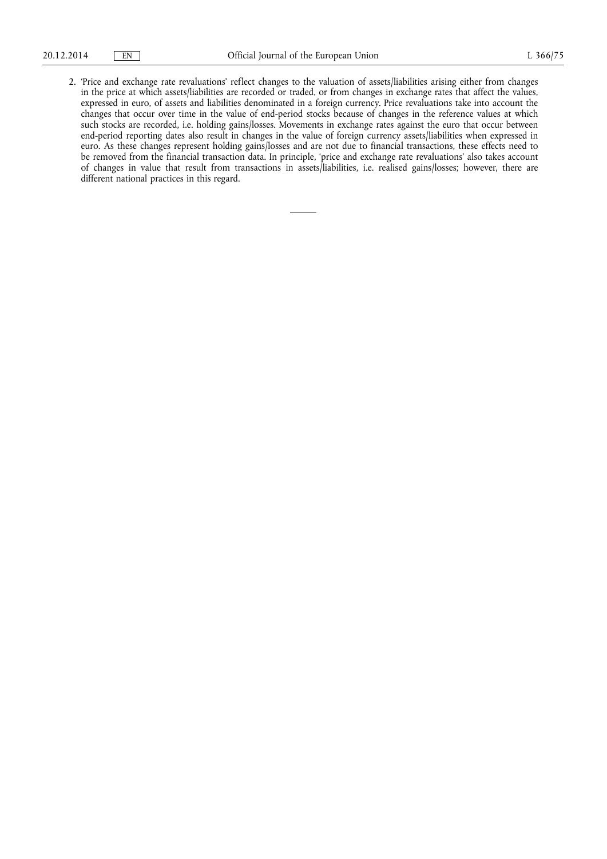2. 'Price and exchange rate revaluations' reflect changes to the valuation of assets/liabilities arising either from changes in the price at which assets/liabilities are recorded or traded, or from changes in exchange rates that affect the values, expressed in euro, of assets and liabilities denominated in a foreign currency. Price revaluations take into account the changes that occur over time in the value of end-period stocks because of changes in the reference values at which such stocks are recorded, i.e. holding gains/losses. Movements in exchange rates against the euro that occur between end-period reporting dates also result in changes in the value of foreign currency assets/liabilities when expressed in euro. As these changes represent holding gains/losses and are not due to financial transactions, these effects need to be removed from the financial transaction data. In principle, 'price and exchange rate revaluations' also takes account of changes in value that result from transactions in assets/liabilities, i.e. realised gains/losses; however, there are different national practices in this regard.